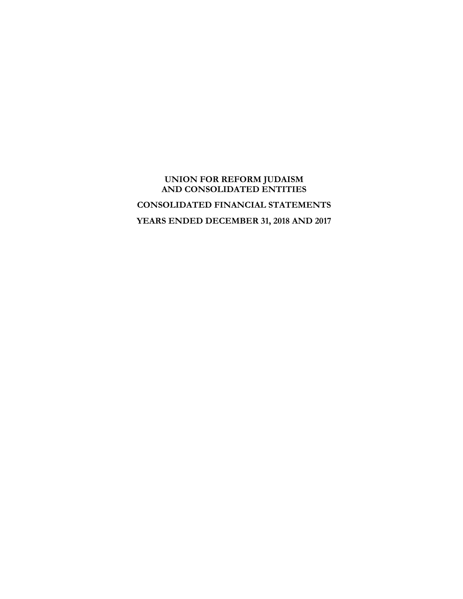# **UNION FOR REFORM JUDAISM AND CONSOLIDATED ENTITIES CONSOLIDATED FINANCIAL STATEMENTS YEARS ENDED DECEMBER 31, 2018 AND 2017**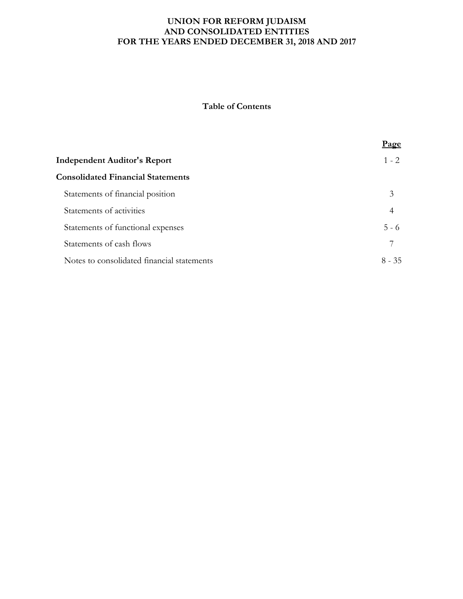#### **UNION FOR REFORM JUDAISM AND CONSOLIDATED ENTITIES FOR THE YEARS ENDED DECEMBER 31, 2018 AND 2017**

# **Table of Contents**

|                                            | <u>Page</u> |
|--------------------------------------------|-------------|
| <b>Independent Auditor's Report</b>        | $1 - 2$     |
| <b>Consolidated Financial Statements</b>   |             |
| Statements of financial position           | 3           |
| Statements of activities                   | 4           |
| Statements of functional expenses          | $5 - 6$     |
| Statements of cash flows                   | 7           |
| Notes to consolidated financial statements | $8 - 35$    |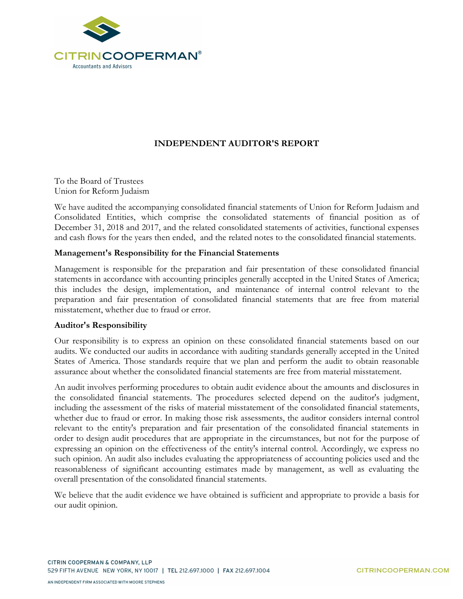

## **INDEPENDENT AUDITOR'S REPORT**

To the Board of Trustees Union for Reform Judaism

We have audited the accompanying consolidated financial statements of Union for Reform Judaism and Consolidated Entities, which comprise the consolidated statements of financial position as of December 31, 2018 and 2017, and the related consolidated statements of activities, functional expenses and cash flows for the years then ended, and the related notes to the consolidated financial statements.

## **Management's Responsibility for the Financial Statements**

Management is responsible for the preparation and fair presentation of these consolidated financial statements in accordance with accounting principles generally accepted in the United States of America; this includes the design, implementation, and maintenance of internal control relevant to the preparation and fair presentation of consolidated financial statements that are free from material misstatement, whether due to fraud or error.

#### **Auditor's Responsibility**

Our responsibility is to express an opinion on these consolidated financial statements based on our audits. We conducted our audits in accordance with auditing standards generally accepted in the United States of America. Those standards require that we plan and perform the audit to obtain reasonable assurance about whether the consolidated financial statements are free from material misstatement.

An audit involves performing procedures to obtain audit evidence about the amounts and disclosures in the consolidated financial statements. The procedures selected depend on the auditor's judgment, including the assessment of the risks of material misstatement of the consolidated financial statements, whether due to fraud or error. In making those risk assessments, the auditor considers internal control relevant to the entity's preparation and fair presentation of the consolidated financial statements in order to design audit procedures that are appropriate in the circumstances, but not for the purpose of expressing an opinion on the effectiveness of the entity's internal control. Accordingly, we express no such opinion. An audit also includes evaluating the appropriateness of accounting policies used and the reasonableness of significant accounting estimates made by management, as well as evaluating the overall presentation of the consolidated financial statements.

We believe that the audit evidence we have obtained is sufficient and appropriate to provide a basis for our audit opinion.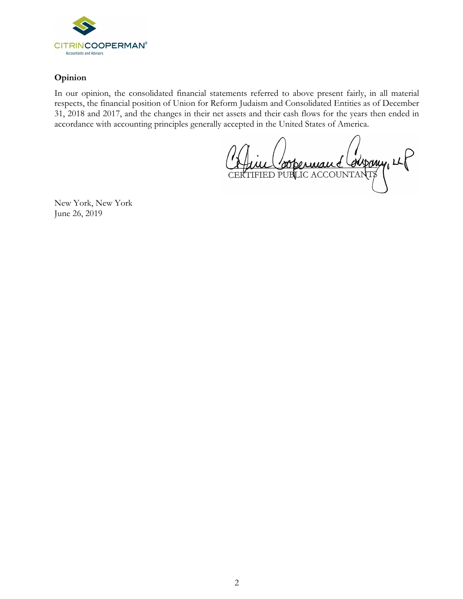

## **Opinion**

In our opinion, the consolidated financial statements referred to above present fairly, in all material respects, the financial position of Union for Reform Judaism and Consolidated Entities as of December 31, 2018 and 2017, and the changes in their net assets and their cash flows for the years then ended in accordance with accounting principles generally accepted in the United States of America.

Génie Coopernant Compony, LE

New York, New York June 26, 2019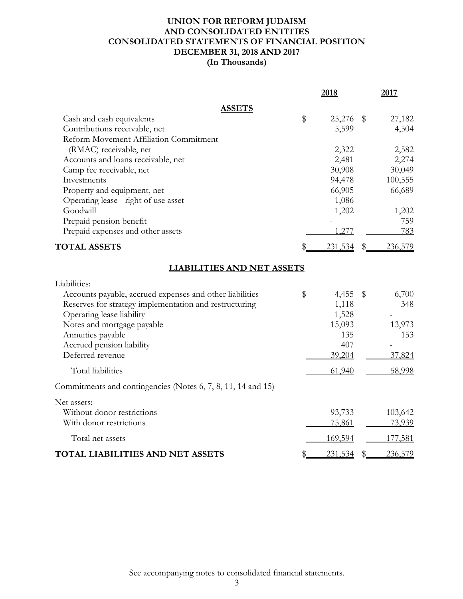## **UNION FOR REFORM JUDAISM AND CONSOLIDATED ENTITIES CONSOLIDATED STATEMENTS OF FINANCIAL POSITION DECEMBER 31, 2018 AND 2017 (In Thousands)**

|                                                                                                                                                                                                                                                                                                      | 2018                                                                    | 2017                                                                 |
|------------------------------------------------------------------------------------------------------------------------------------------------------------------------------------------------------------------------------------------------------------------------------------------------------|-------------------------------------------------------------------------|----------------------------------------------------------------------|
| <b>ASSETS</b>                                                                                                                                                                                                                                                                                        |                                                                         |                                                                      |
| Cash and cash equivalents<br>Contributions receivable, net                                                                                                                                                                                                                                           | \$<br>25,276<br>5,599                                                   | \$<br>27,182<br>4,504                                                |
| Reform Movement Affiliation Commitment<br>(RMAC) receivable, net<br>Accounts and loans receivable, net<br>Camp fee receivable, net<br>Investments<br>Property and equipment, net<br>Operating lease - right of use asset<br>Goodwill<br>Prepaid pension benefit<br>Prepaid expenses and other assets | 2,322<br>2,481<br>30,908<br>94,478<br>66,905<br>1,086<br>1,202<br>1,277 | 2,582<br>2,274<br>30,049<br>100,555<br>66,689<br>1,202<br>759<br>783 |
| <b>TOTAL ASSETS</b>                                                                                                                                                                                                                                                                                  | 231,534                                                                 | 236,579                                                              |
| <b>LIABILITIES AND NET ASSETS</b>                                                                                                                                                                                                                                                                    |                                                                         |                                                                      |
| Liabilities:<br>Accounts payable, accrued expenses and other liabilities<br>Reserves for strategy implementation and restructuring<br>Operating lease liability<br>Notes and mortgage payable<br>Annuities payable<br>Accrued pension liability<br>Deferred revenue                                  | \$<br>4,455<br>1,118<br>1,528<br>15,093<br>135<br>407<br>39,204         | \$<br>6,700<br>348<br>13,973<br>153<br>37,824                        |
| Total liabilities                                                                                                                                                                                                                                                                                    | 61,940                                                                  | 58,998                                                               |
| Commitments and contingencies (Notes 6, 7, 8, 11, 14 and 15)                                                                                                                                                                                                                                         |                                                                         |                                                                      |
| Net assets:<br>Without donor restrictions<br>With donor restrictions                                                                                                                                                                                                                                 | 93,733<br>75,861                                                        | 103,642<br>73,939                                                    |
| Total net assets                                                                                                                                                                                                                                                                                     | 169,594                                                                 | 177,581                                                              |
| <b>TOTAL LIABILITIES AND NET ASSETS</b>                                                                                                                                                                                                                                                              | \$<br>231,534                                                           | \$<br>236,579                                                        |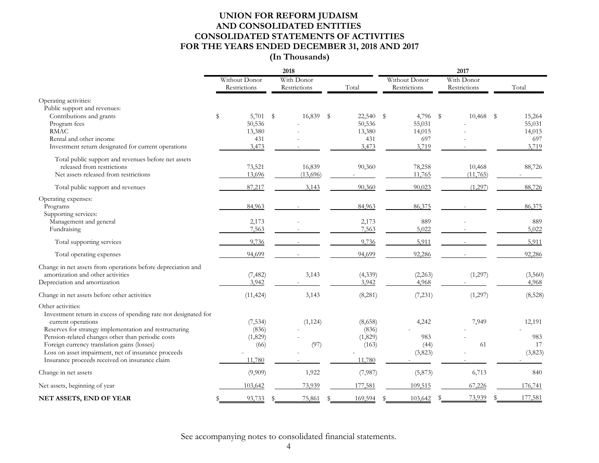## **UNION FOR REFORM JUDAISM AND CONSOLIDATED ENTITIES CONSOLIDATED STATEMENTS OF ACTIVITIES FOR THE YEARS ENDED DECEMBER 31, 2018 AND 2017**

**(In Thousands)**

|                                                                                                                                                                                                           |                               | 2018 |                            |   |                            |                               |  | 2017                       |    |                        |  |  |  |
|-----------------------------------------------------------------------------------------------------------------------------------------------------------------------------------------------------------|-------------------------------|------|----------------------------|---|----------------------------|-------------------------------|--|----------------------------|----|------------------------|--|--|--|
|                                                                                                                                                                                                           | Without Donor<br>Restrictions |      | With Donor<br>Restrictions |   |                            | Without Donor<br>Restrictions |  | With Donor<br>Restrictions |    | Total                  |  |  |  |
| Operating activities:<br>Public support and revenues:<br>Contributions and grants<br>Program fees                                                                                                         | \$<br>$5,701$ \$<br>50,536    |      | 16,839                     | S | 22,540 \$<br>50,536        | 4,796 \$<br>55,031            |  | 10,468                     | \$ | 15,264<br>55,031       |  |  |  |
| <b>RMAC</b><br>Rental and other income<br>Investment return designated for current operations                                                                                                             | 13,380<br>431<br>3,473        |      |                            |   | 13,380<br>431<br>3,473     | 14,015<br>697<br>3,719        |  |                            |    | 14,015<br>697<br>3,719 |  |  |  |
| Total public support and revenues before net assets<br>released from restrictions<br>Net assets released from restrictions                                                                                | 73,521<br>13,696              |      | 16,839<br>(13,696)         |   | 90,360                     | 78,258<br>11,765              |  | 10,468<br>(11, 765)        |    | 88,726                 |  |  |  |
| Total public support and revenues                                                                                                                                                                         | 87,217                        |      | 3,143                      |   | 90,360                     | 90,023                        |  | (1,297)                    |    | 88,726                 |  |  |  |
| Operating expenses:<br>Programs<br>Supporting services:                                                                                                                                                   | 84,963                        |      |                            |   | 84,963                     | 86,375                        |  |                            |    | 86,375                 |  |  |  |
| Management and general<br>Fundraising                                                                                                                                                                     | 2,173<br>7,563                |      |                            |   | 2,173<br>7,563             | 889<br>5,022                  |  |                            |    | 889<br>5,022           |  |  |  |
| Total supporting services                                                                                                                                                                                 | 9,736                         |      |                            |   | 9,736                      | 5,911                         |  |                            |    | 5,911                  |  |  |  |
| Total operating expenses                                                                                                                                                                                  | 94,699                        |      |                            |   | 94,699                     | 92,286                        |  |                            |    | 92,286                 |  |  |  |
| Change in net assets from operations before depreciation and<br>amortization and other activities<br>Depreciation and amortization                                                                        | (7, 482)<br>3,942             |      | 3,143                      |   | (4,339)<br>3,942           | (2,263)<br>4,968              |  | (1,297)                    |    | (3,560)<br>4,968       |  |  |  |
| Change in net assets before other activities                                                                                                                                                              | (11, 424)                     |      | 3,143                      |   | (8,281)                    | (7, 231)                      |  | (1,297)                    |    | (8,528)                |  |  |  |
| Other activities:<br>Investment return in excess of spending rate not designated for<br>current operations<br>Reserves for strategy implementation and restructuring                                      | (7, 534)<br>(836)             |      | (1, 124)                   |   | (8,658)<br>(836)           | 4,242                         |  | 7,949                      |    | 12,191                 |  |  |  |
| Pension-related changes other than periodic costs<br>Foreign currency translation gains (losses)<br>Loss on asset impairment, net of insurance proceeds<br>Insurance proceeds received on insurance claim | (1,829)<br>(66)<br>11.780     |      | (97)                       |   | (1,829)<br>(163)<br>11.780 | 983<br>(44)<br>(3,823)        |  | 61                         |    | 983<br>17<br>(3,823)   |  |  |  |
| Change in net assets                                                                                                                                                                                      | (9,909)                       |      | 1,922                      |   | (7,987)                    | (5,873)                       |  | 6,713                      |    | 840                    |  |  |  |
| Net assets, beginning of year                                                                                                                                                                             | 103,642                       |      | 73,939                     |   | 177,581                    | 109,515                       |  | 67,226                     |    | 176,741                |  |  |  |
| NET ASSETS, END OF YEAR                                                                                                                                                                                   | 93,733                        |      | 75,861                     |   | 169,594                    | 103,642<br>S                  |  | 73,939                     |    | 177,581                |  |  |  |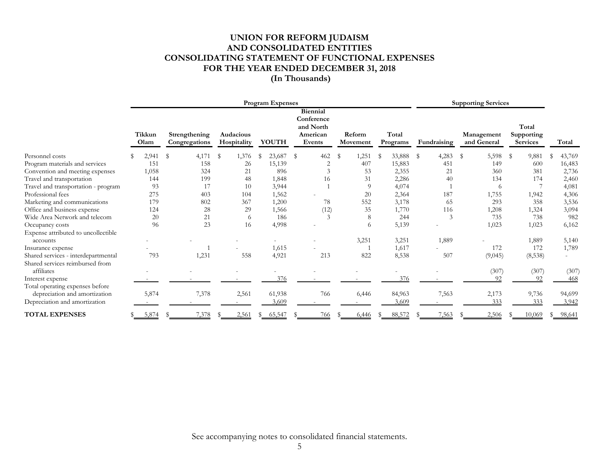## **UNION FOR REFORM JUDAISM AND CONSOLIDATED ENTITIES CONSOLIDATING STATEMENT OF FUNCTIONAL EXPENSES FOR THE YEAR ENDED DECEMBER 31, 2018**

 **(In Thousands)**

|                                                                        |                |   |                                |   |                          |   | <b>Program Expenses</b> |      |                                                                  |                    |                   | <b>Supporting Services</b> |               |      |                           |    |                                        |              |        |
|------------------------------------------------------------------------|----------------|---|--------------------------------|---|--------------------------|---|-------------------------|------|------------------------------------------------------------------|--------------------|-------------------|----------------------------|---------------|------|---------------------------|----|----------------------------------------|--------------|--------|
|                                                                        | Tikkun<br>Olam |   | Strengthening<br>Congregations |   | Audacious<br>Hospitality |   | YOUTH                   |      | <b>Biennial</b><br>Conference<br>and North<br>American<br>Events | Reform<br>Movement | Total<br>Programs |                            | Fundraising   |      | Management<br>and General |    | Total<br>Supporting<br><b>Services</b> |              | Total  |
| Personnel costs                                                        | 2,941          | S | 4,171                          | S | 1,376                    | S | 23,687                  | - \$ | 462                                                              | \$<br>1,251        | \$<br>33,888      | - \$                       | 4,283         | - \$ | 5,598                     | \$ | 9,881                                  | S            | 43,769 |
| Program materials and services                                         | 151            |   | 158                            |   | 26                       |   | 15,139                  |      | $\overline{2}$                                                   | 407                | 15,883            |                            | 451           |      | 149                       |    | 600                                    |              | 16,483 |
| Convention and meeting expenses                                        | 1,058          |   | 324                            |   | 21                       |   | 896                     |      |                                                                  | 53                 | 2,355             |                            | 21            |      | 360                       |    | 381                                    |              | 2,736  |
| Travel and transportation                                              | 144            |   | 199                            |   | 48                       |   | 1,848                   |      | 16                                                               | 31                 | 2,286             |                            | 40            |      | 134                       |    | 174                                    |              | 2,460  |
| Travel and transportation - program                                    | 93             |   | 17                             |   | 10                       |   | 3,944                   |      |                                                                  | 9                  | 4,074             |                            |               |      | 6                         |    |                                        |              | 4,081  |
| Professional fees                                                      | 275            |   | 403                            |   | 104                      |   | 1,562                   |      |                                                                  | 20                 | 2,364             |                            | 187           |      | 1,755                     |    | 1,942                                  |              | 4,306  |
| Marketing and communications                                           | 179            |   | 802                            |   | 367                      |   | 1,200                   |      | 78                                                               | 552                | 3,178             |                            | 65            |      | 293                       |    | 358                                    |              | 3,536  |
| Office and business expense                                            | 124            |   | 28                             |   | 29                       |   | 1,566                   |      | (12)                                                             | 35                 | 1,770             |                            | 116           |      | 1,208                     |    | 1,324                                  |              | 3,094  |
| Wide Area Network and telecom                                          | 20             |   | 21                             |   | 6                        |   | 186                     |      | $\mathcal{E}$                                                    | 8                  | 244               |                            | $\mathcal{E}$ |      | 735                       |    | 738                                    |              | 982    |
| Occupancy costs                                                        | 96             |   | 23                             |   | 16                       |   | 4,998                   |      |                                                                  | 6                  | 5,139             |                            |               |      | 1,023                     |    | 1,023                                  |              | 6,162  |
| Expense attributed to uncollectible                                    |                |   |                                |   |                          |   |                         |      |                                                                  |                    |                   |                            |               |      |                           |    |                                        |              |        |
| accounts                                                               |                |   |                                |   |                          |   |                         |      |                                                                  | 3,251              | 3,251             |                            | 1,889         |      |                           |    | 1,889                                  |              | 5,140  |
| Insurance expense                                                      |                |   |                                |   |                          |   | 1,615                   |      |                                                                  |                    | 1,617             |                            |               |      | 172                       |    | 172                                    |              | 1,789  |
| Shared services - interdepartmental<br>Shared services reimbursed from | 793            |   | 1,231                          |   | 558                      |   | 4,921                   |      | 213                                                              | 822                | 8,538             |                            | 507           |      | (9,045)                   |    | (8,538)                                |              |        |
| affiliates                                                             |                |   |                                |   |                          |   |                         |      |                                                                  |                    |                   |                            |               |      | (307)                     |    | (307)                                  |              | (307)  |
| Interest expense                                                       |                |   |                                |   |                          |   | 376                     |      |                                                                  |                    | 376               |                            |               |      | 92                        |    | 92                                     |              | 468    |
| Total operating expenses before                                        |                |   |                                |   |                          |   |                         |      |                                                                  |                    |                   |                            |               |      |                           |    |                                        |              |        |
| depreciation and amortization                                          | 5,874          |   | 7,378                          |   | 2,561                    |   | 61,938                  |      | 766                                                              | 6,446              | 84,963            |                            | 7,563         |      | 2,173                     |    | 9,736                                  |              | 94,699 |
| Depreciation and amortization                                          |                |   |                                |   |                          |   | 3,609                   |      |                                                                  |                    | 3,609             |                            |               |      | 333                       |    | 333                                    |              | 3,942  |
| <b>TOTAL EXPENSES</b>                                                  | 5,874          |   | 7,378                          |   | 2,561                    | S | 65,547                  |      | 766                                                              | 6,446              | 88,572            |                            | 7,563         |      | 2,506                     |    | 10,069                                 | $\mathbb{S}$ | 98,641 |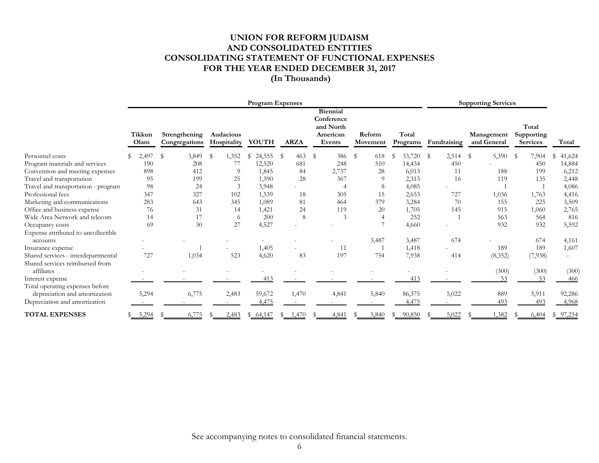## **UNION FOR REFORM JUDAISM AND CONSOLIDATED ENTITIES CONSOLIDATING STATEMENT OF FUNCTIONAL EXPENSES FOR THE YEAR ENDED DECEMBER 31, 2017**

 **(In Thousands)**

|                                                                        |                | <b>Program Expenses</b>        |   |                          |             |             |     |                                                                  |            |                    |    | <b>Supporting Services</b> |      |             |                           |     |                                        |           |
|------------------------------------------------------------------------|----------------|--------------------------------|---|--------------------------|-------------|-------------|-----|------------------------------------------------------------------|------------|--------------------|----|----------------------------|------|-------------|---------------------------|-----|----------------------------------------|-----------|
|                                                                        | Tikkun<br>Olam | Strengthening<br>Congregations |   | Audacious<br>Hospitality | YOUTH       | <b>ARZA</b> |     | <b>Biennial</b><br>Conference<br>and North<br>American<br>Events |            | Reform<br>Movement |    | Total<br>Programs          |      | Fundraising | Management<br>and General |     | Total<br>Supporting<br><b>Services</b> | Total     |
| Personnel costs                                                        | 2,497          | 3,849<br>\$                    | S | 1,352                    | 24,555<br>S | - \$        | 463 | 386<br>S                                                         | $^{\circ}$ | 618                | -S | 33,720                     | - \$ | 2,514       | 5,390<br>S                | - S | 7,904                                  | 41,624    |
| Program materials and services                                         | 190            | 208                            |   | 77                       | 12,520      | 681         |     | 248                                                              |            | 510                |    | 14,434                     |      | 450         |                           |     | 450                                    | 14,884    |
| Convention and meeting expenses                                        | 898            | 412                            |   |                          | 1,845       |             | 84  | 2,737                                                            |            | 28                 |    | 6,013                      |      | 11          | 188                       |     | 199                                    | 6,212     |
| Travel and transportation                                              | 95             | 199                            |   | 25                       | 1,590       |             | 28  | 367                                                              |            | 9                  |    | 2,313                      |      | 16          | 119                       |     | 135                                    | 2,448     |
| Travel and transportation - program                                    | 98             | 24                             |   | 3                        | 3,948       |             |     |                                                                  |            | 8                  |    | 4,085                      |      |             |                           |     |                                        | 4,086     |
| Professional fees                                                      | 347            | 327                            |   | 102                      | 1,539       |             | 18  | 305                                                              |            | 15                 |    | 2,653                      |      | 727         | 1,036                     |     | 1,763                                  | 4,416     |
| Marketing and communications                                           | 283            | 643                            |   | 345                      | 1,089       |             | 81  | 464                                                              |            | 379                |    | 3,284                      |      | 70          | 155                       |     | 225                                    | 3,509     |
| Office and business expense                                            | 76             | 31                             |   | 14                       | 1,421       |             | 24  | 119                                                              |            | 20                 |    | 1,705                      |      | 145         | 915                       |     | 1,060                                  | 2,765     |
| Wide Area Network and telecom                                          | 14             | 17                             |   | 6                        | 200         |             | 8   | 3                                                                |            | $\overline{4}$     |    | 252                        |      |             | 563                       |     | 564                                    | 816       |
| Occupancy costs                                                        | 69             | 30                             |   | 27                       | 4,527       |             |     |                                                                  |            | 7                  |    | 4,660                      |      |             | 932                       |     | 932                                    | 5,592     |
| Expense attributed to uncollectible<br>accounts                        |                |                                |   |                          |             |             |     |                                                                  |            | 3,487              |    | 3,487                      |      | 674         |                           |     | 674                                    | 4,161     |
| Insurance expense                                                      |                |                                |   |                          | 1,405       |             |     | 11                                                               |            |                    |    | 1,418                      |      |             | 189                       |     | 189                                    | 1,607     |
| Shared services - interdepartmental<br>Shared services reimbursed from | 727            | 1,034                          |   | 523                      | 4,620       |             | 83  | 197                                                              |            | 754                |    | 7,938                      |      | 414         | (8, 352)                  |     | (7,938)                                |           |
| affiliates                                                             |                |                                |   |                          |             |             |     |                                                                  |            |                    |    |                            |      |             | (300)                     |     | (300)                                  | (300)     |
| Interest expense                                                       |                |                                |   |                          | 413         |             |     |                                                                  |            |                    |    | 413                        |      |             | 53                        |     | 53                                     | 466       |
| Total operating expenses before<br>depreciation and amortization       | 5,294          | 6,775                          |   | 2,483                    | 59,672      | 1,470       |     | 4,841                                                            |            | 5,840              |    | 86,375                     |      | 5,022       | 889                       |     | 5,911                                  | 92,286    |
| Depreciation and amortization                                          |                |                                |   |                          | 4,475       |             |     |                                                                  |            |                    |    | 4,475                      |      |             | 493                       |     | 493                                    | 4,968     |
| <b>TOTAL EXPENSES</b>                                                  | 5,294          | 6,775                          |   | 2,483                    | \$64,147    | 1,470       |     | 4,841                                                            |            | 5,840              | S  | 90,850                     |      | 5,022       | 1,382                     |     | 6,404                                  | \$ 97,254 |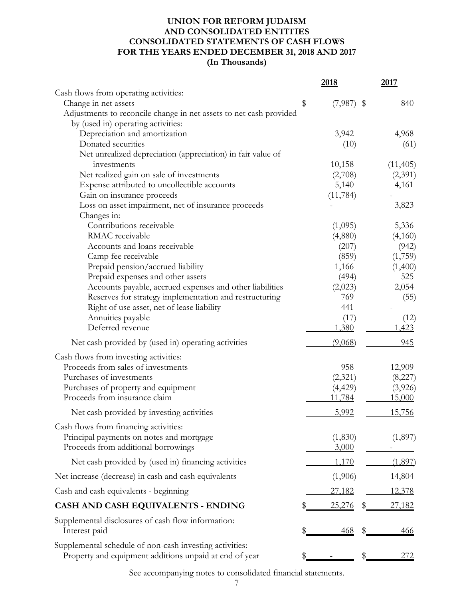## **UNION FOR REFORM JUDAISM AND CONSOLIDATED ENTITIES CONSOLIDATED STATEMENTS OF CASH FLOWS FOR THE YEARS ENDED DECEMBER 31, 2018 AND 2017 (In Thousands)**

|                                                                    | <u> 2018 </u>      | <u>2017</u>   |
|--------------------------------------------------------------------|--------------------|---------------|
| Cash flows from operating activities:                              |                    |               |
| Change in net assets                                               | \$<br>$(7,987)$ \$ | 840           |
| Adjustments to reconcile change in net assets to net cash provided |                    |               |
| by (used in) operating activities:                                 |                    |               |
| Depreciation and amortization                                      | 3,942              | 4,968         |
| Donated securities                                                 | (10)               | (61)          |
| Net unrealized depreciation (appreciation) in fair value of        |                    |               |
| investments                                                        | 10,158             | (11,405)      |
| Net realized gain on sale of investments                           | (2,708)            | (2,391)       |
| Expense attributed to uncollectible accounts                       | 5,140              | 4,161         |
| Gain on insurance proceeds                                         | (11, 784)          |               |
| Loss on asset impairment, net of insurance proceeds                |                    | 3,823         |
| Changes in:                                                        |                    |               |
| Contributions receivable                                           | (1,095)            | 5,336         |
| RMAC receivable                                                    | (4,880)            | (4,160)       |
| Accounts and loans receivable                                      | (207)              | (942)         |
| Camp fee receivable                                                | (859)              | (1,759)       |
| Prepaid pension/accrued liability                                  | 1,166              | (1,400)       |
| Prepaid expenses and other assets                                  | (494)              | 525           |
| Accounts payable, accrued expenses and other liabilities           | (2,023)            | 2,054         |
| Reserves for strategy implementation and restructuring             | 769                | (55)          |
| Right of use asset, net of lease liability                         | 441                |               |
| Annuities payable                                                  | (17)               | (12)          |
| Deferred revenue                                                   | 1,380              | 1,423         |
| Net cash provided by (used in) operating activities                | (9,068)            | 945           |
| Cash flows from investing activities:                              |                    |               |
| Proceeds from sales of investments                                 | 958                | 12,909        |
| Purchases of investments                                           | (2,321)            | (8,227)       |
| Purchases of property and equipment                                | (4, 429)           | (3,926)       |
| Proceeds from insurance claim                                      | 11,784             | <u>15,000</u> |
| Net cash provided by investing activities                          | 5,992              | 15,756        |
| Cash flows from financing activities:                              |                    |               |
| Principal payments on notes and mortgage                           | (1,830)            | (1,897)       |
| Proceeds from additional borrowings                                | 3,000              |               |
| Net cash provided by (used in) financing activities                | 1,170              | (1,897)       |
| Net increase (decrease) in cash and cash equivalents               | (1,906)            | 14,804        |
| Cash and cash equivalents - beginning                              | 27,182             | 12,378        |
| CASH AND CASH EQUIVALENTS - ENDING                                 | <u>25,276</u>      | 27,182        |
| Supplemental disclosures of cash flow information:                 |                    |               |
| Interest paid                                                      | 468                | 466           |
|                                                                    |                    |               |
| Supplemental schedule of non-cash investing activities:            |                    |               |
| Property and equipment additions unpaid at end of year             |                    | 272           |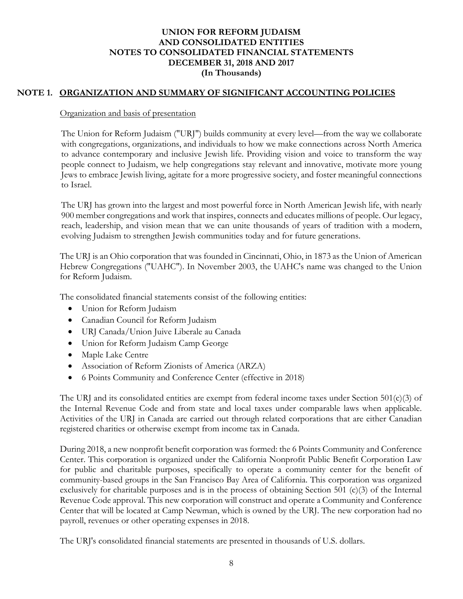## **NOTE 1. ORGANIZATION AND SUMMARY OF SIGNIFICANT ACCOUNTING POLICIES**

#### Organization and basis of presentation

The Union for Reform Judaism ("URJ") builds community at every level—from the way we collaborate with congregations, organizations, and individuals to how we make connections across North America to advance contemporary and inclusive Jewish life. Providing vision and voice to transform the way people connect to Judaism, we help congregations stay relevant and innovative, motivate more young Jews to embrace Jewish living, agitate for a more progressive society, and foster meaningful connections to Israel.

The URJ has grown into the largest and most powerful force in North American Jewish life, with nearly 900 member congregations and work that inspires, connects and educates millions of people. Our legacy, reach, leadership, and vision mean that we can unite thousands of years of tradition with a modern, evolving Judaism to strengthen Jewish communities today and for future generations.

The URJ is an Ohio corporation that was founded in Cincinnati, Ohio, in 1873 as the Union of American Hebrew Congregations ("UAHC"). In November 2003, the UAHC's name was changed to the Union for Reform Judaism.

The consolidated financial statements consist of the following entities:

- Union for Reform Judaism
- Canadian Council for Reform Judaism
- URJ Canada/Union Juive Liberale au Canada
- Union for Reform Judaism Camp George
- Maple Lake Centre
- Association of Reform Zionists of America (ARZA)
- 6 Points Community and Conference Center (effective in 2018)

The URJ and its consolidated entities are exempt from federal income taxes under Section  $501(c)(3)$  of the Internal Revenue Code and from state and local taxes under comparable laws when applicable. Activities of the URJ in Canada are carried out through related corporations that are either Canadian registered charities or otherwise exempt from income tax in Canada.

During 2018, a new nonprofit benefit corporation was formed: the 6 Points Community and Conference Center. This corporation is organized under the California Nonprofit Public Benefit Corporation Law for public and charitable purposes, specifically to operate a community center for the benefit of community-based groups in the San Francisco Bay Area of California. This corporation was organized exclusively for charitable purposes and is in the process of obtaining Section 501 (c)(3) of the Internal Revenue Code approval. This new corporation will construct and operate a Community and Conference Center that will be located at Camp Newman, which is owned by the URJ. The new corporation had no payroll, revenues or other operating expenses in 2018.

The URJ's consolidated financial statements are presented in thousands of U.S. dollars.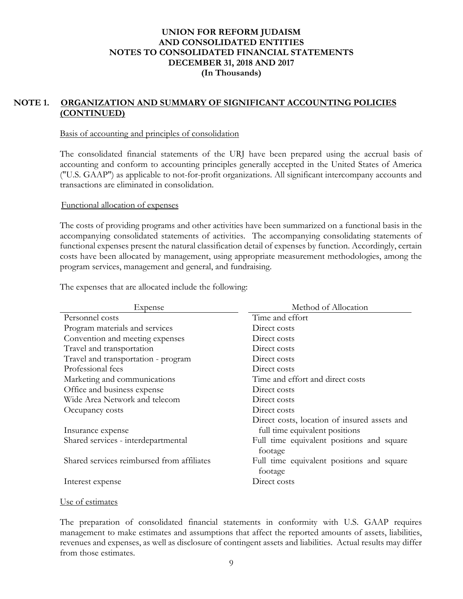## **NOTE 1. ORGANIZATION AND SUMMARY OF SIGNIFICANT ACCOUNTING POLICIES (CONTINUED)**

#### Basis of accounting and principles of consolidation

The consolidated financial statements of the URJ have been prepared using the accrual basis of accounting and conform to accounting principles generally accepted in the United States of America ("U.S. GAAP") as applicable to not-for-profit organizations. All significant intercompany accounts and transactions are eliminated in consolidation.

#### Functional allocation of expenses

The costs of providing programs and other activities have been summarized on a functional basis in the accompanying consolidated statements of activities. The accompanying consolidating statements of functional expenses present the natural classification detail of expenses by function. Accordingly, certain costs have been allocated by management, using appropriate measurement methodologies, among the program services, management and general, and fundraising.

The expenses that are allocated include the following:

| Expense                                    | Method of Allocation                                 |  |  |  |  |  |  |
|--------------------------------------------|------------------------------------------------------|--|--|--|--|--|--|
| Personnel costs                            | Time and effort                                      |  |  |  |  |  |  |
| Program materials and services             | Direct costs                                         |  |  |  |  |  |  |
| Convention and meeting expenses            | Direct costs                                         |  |  |  |  |  |  |
| Travel and transportation                  | Direct costs                                         |  |  |  |  |  |  |
| Travel and transportation - program        | Direct costs                                         |  |  |  |  |  |  |
| Professional fees                          | Direct costs                                         |  |  |  |  |  |  |
| Marketing and communications               | Time and effort and direct costs                     |  |  |  |  |  |  |
| Office and business expense                | Direct costs                                         |  |  |  |  |  |  |
| Wide Area Network and telecom              | Direct costs                                         |  |  |  |  |  |  |
| Occupancy costs                            | Direct costs                                         |  |  |  |  |  |  |
|                                            | Direct costs, location of insured assets and         |  |  |  |  |  |  |
| Insurance expense                          | full time equivalent positions                       |  |  |  |  |  |  |
| Shared services - interdepartmental        | Full time equivalent positions and square<br>footage |  |  |  |  |  |  |
| Shared services reimbursed from affiliates | Full time equivalent positions and square<br>footage |  |  |  |  |  |  |
| Interest expense                           | Direct costs                                         |  |  |  |  |  |  |

#### Use of estimates

The preparation of consolidated financial statements in conformity with U.S. GAAP requires management to make estimates and assumptions that affect the reported amounts of assets, liabilities, revenues and expenses, as well as disclosure of contingent assets and liabilities. Actual results may differ from those estimates.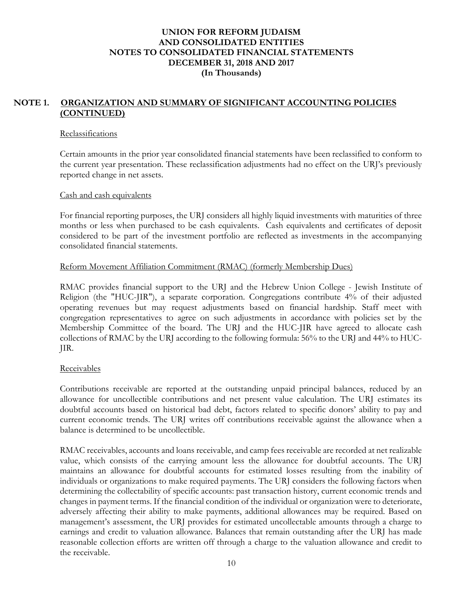## **NOTE 1. ORGANIZATION AND SUMMARY OF SIGNIFICANT ACCOUNTING POLICIES (CONTINUED)**

#### Reclassifications

Certain amounts in the prior year consolidated financial statements have been reclassified to conform to the current year presentation. These reclassification adjustments had no effect on the URJ's previously reported change in net assets.

#### Cash and cash equivalents

For financial reporting purposes, the URJ considers all highly liquid investments with maturities of three months or less when purchased to be cash equivalents. Cash equivalents and certificates of deposit considered to be part of the investment portfolio are reflected as investments in the accompanying consolidated financial statements.

#### Reform Movement Affiliation Commitment (RMAC) (formerly Membership Dues)

RMAC provides financial support to the URJ and the Hebrew Union College - Jewish Institute of Religion (the "HUC-JIR"), a separate corporation. Congregations contribute 4% of their adjusted operating revenues but may request adjustments based on financial hardship. Staff meet with congregation representatives to agree on such adjustments in accordance with policies set by the Membership Committee of the board. The URJ and the HUC-JIR have agreed to allocate cash collections of RMAC by the URJ according to the following formula: 56% to the URJ and 44% to HUC-JIR.

### **Receivables**

Contributions receivable are reported at the outstanding unpaid principal balances, reduced by an allowance for uncollectible contributions and net present value calculation. The URJ estimates its doubtful accounts based on historical bad debt, factors related to specific donors' ability to pay and current economic trends. The URJ writes off contributions receivable against the allowance when a balance is determined to be uncollectible.

RMAC receivables, accounts and loans receivable, and camp fees receivable are recorded at net realizable value, which consists of the carrying amount less the allowance for doubtful accounts. The URJ maintains an allowance for doubtful accounts for estimated losses resulting from the inability of individuals or organizations to make required payments. The URJ considers the following factors when determining the collectability of specific accounts: past transaction history, current economic trends and changes in payment terms. If the financial condition of the individual or organization were to deteriorate, adversely affecting their ability to make payments, additional allowances may be required. Based on management's assessment, the URJ provides for estimated uncollectable amounts through a charge to earnings and credit to valuation allowance. Balances that remain outstanding after the URJ has made reasonable collection efforts are written off through a charge to the valuation allowance and credit to the receivable.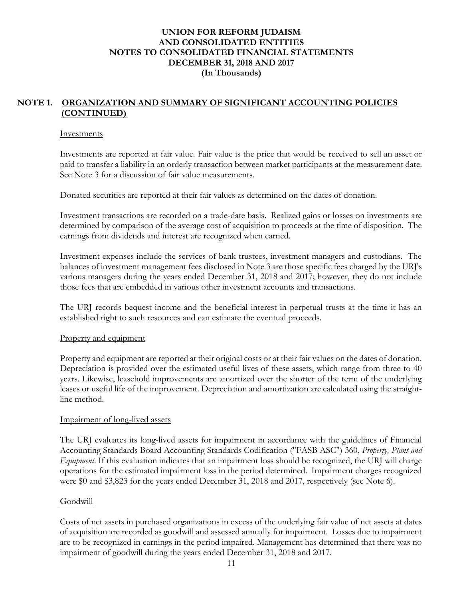## **NOTE 1. ORGANIZATION AND SUMMARY OF SIGNIFICANT ACCOUNTING POLICIES (CONTINUED)**

#### Investments

Investments are reported at fair value. Fair value is the price that would be received to sell an asset or paid to transfer a liability in an orderly transaction between market participants at the measurement date. See Note 3 for a discussion of fair value measurements.

Donated securities are reported at their fair values as determined on the dates of donation.

Investment transactions are recorded on a trade-date basis. Realized gains or losses on investments are determined by comparison of the average cost of acquisition to proceeds at the time of disposition. The earnings from dividends and interest are recognized when earned.

Investment expenses include the services of bank trustees, investment managers and custodians. The balances of investment management fees disclosed in Note 3 are those specific fees charged by the URJ's various managers during the years ended December 31, 2018 and 2017; however, they do not include those fees that are embedded in various other investment accounts and transactions.

The URJ records bequest income and the beneficial interest in perpetual trusts at the time it has an established right to such resources and can estimate the eventual proceeds.

#### Property and equipment

Property and equipment are reported at their original costs or at their fair values on the dates of donation. Depreciation is provided over the estimated useful lives of these assets, which range from three to 40 years. Likewise, leasehold improvements are amortized over the shorter of the term of the underlying leases or useful life of the improvement. Depreciation and amortization are calculated using the straightline method.

#### Impairment of long-lived assets

The URJ evaluates its long-lived assets for impairment in accordance with the guidelines of Financial Accounting Standards Board Accounting Standards Codification ("FASB ASC") 360, *Property, Plant and Equipment*. If this evaluation indicates that an impairment loss should be recognized, the URJ will charge operations for the estimated impairment loss in the period determined. Impairment charges recognized were \$0 and \$3,823 for the years ended December 31, 2018 and 2017, respectively (see Note 6).

#### Goodwill

Costs of net assets in purchased organizations in excess of the underlying fair value of net assets at dates of acquisition are recorded as goodwill and assessed annually for impairment. Losses due to impairment are to be recognized in earnings in the period impaired. Management has determined that there was no impairment of goodwill during the years ended December 31, 2018 and 2017.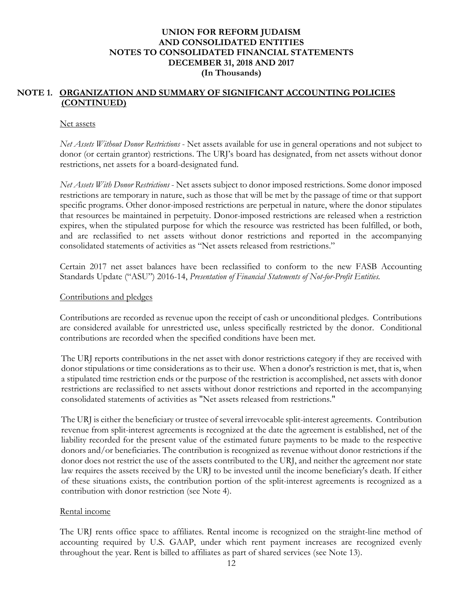## **NOTE 1. ORGANIZATION AND SUMMARY OF SIGNIFICANT ACCOUNTING POLICIES (CONTINUED)**

#### Net assets

*Net Assets Without Donor Restrictions* - Net assets available for use in general operations and not subject to donor (or certain grantor) restrictions. The URJ's board has designated, from net assets without donor restrictions, net assets for a board-designated fund.

*Net Assets With Donor Restrictions* - Net assets subject to donor imposed restrictions. Some donor imposed restrictions are temporary in nature, such as those that will be met by the passage of time or that support specific programs. Other donor-imposed restrictions are perpetual in nature, where the donor stipulates that resources be maintained in perpetuity. Donor-imposed restrictions are released when a restriction expires, when the stipulated purpose for which the resource was restricted has been fulfilled, or both, and are reclassified to net assets without donor restrictions and reported in the accompanying consolidated statements of activities as "Net assets released from restrictions."

Certain 2017 net asset balances have been reclassified to conform to the new FASB Accounting Standards Update ("ASU") 2016-14, *Presentation of Financial Statements of Not-for-Profit Entities.*

#### Contributions and pledges

Contributions are recorded as revenue upon the receipt of cash or unconditional pledges. Contributions are considered available for unrestricted use, unless specifically restricted by the donor. Conditional contributions are recorded when the specified conditions have been met.

The URJ reports contributions in the net asset with donor restrictions category if they are received with donor stipulations or time considerations as to their use. When a donor's restriction is met, that is, when a stipulated time restriction ends or the purpose of the restriction is accomplished, net assets with donor restrictions are reclassified to net assets without donor restrictions and reported in the accompanying consolidated statements of activities as "Net assets released from restrictions."

The URJ is either the beneficiary or trustee of several irrevocable split-interest agreements. Contribution revenue from split-interest agreements is recognized at the date the agreement is established, net of the liability recorded for the present value of the estimated future payments to be made to the respective donors and/or beneficiaries. The contribution is recognized as revenue without donor restrictions if the donor does not restrict the use of the assets contributed to the URJ, and neither the agreement nor state law requires the assets received by the URJ to be invested until the income beneficiary's death. If either of these situations exists, the contribution portion of the split-interest agreements is recognized as a contribution with donor restriction (see Note 4).

#### Rental income

The URJ rents office space to affiliates. Rental income is recognized on the straight-line method of accounting required by U.S. GAAP, under which rent payment increases are recognized evenly throughout the year. Rent is billed to affiliates as part of shared services (see Note 13).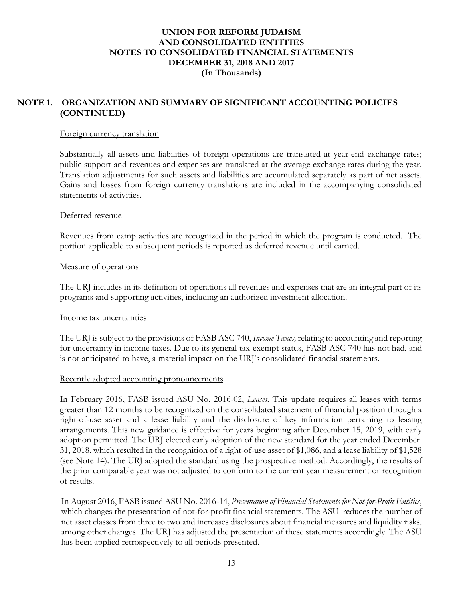## **NOTE 1. ORGANIZATION AND SUMMARY OF SIGNIFICANT ACCOUNTING POLICIES (CONTINUED)**

#### Foreign currency translation

Substantially all assets and liabilities of foreign operations are translated at year-end exchange rates; public support and revenues and expenses are translated at the average exchange rates during the year. Translation adjustments for such assets and liabilities are accumulated separately as part of net assets. Gains and losses from foreign currency translations are included in the accompanying consolidated statements of activities.

#### Deferred revenue

Revenues from camp activities are recognized in the period in which the program is conducted. The portion applicable to subsequent periods is reported as deferred revenue until earned.

#### Measure of operations

The URJ includes in its definition of operations all revenues and expenses that are an integral part of its programs and supporting activities, including an authorized investment allocation.

#### Income tax uncertainties

The URJ is subject to the provisions of FASB ASC 740, *Income Taxes,* relating to accounting and reporting for uncertainty in income taxes. Due to its general tax-exempt status, FASB ASC 740 has not had, and is not anticipated to have, a material impact on the URJ's consolidated financial statements.

#### Recently adopted accounting pronouncements

In February 2016, FASB issued ASU No. 2016-02, *Leases*. This update requires all leases with terms greater than 12 months to be recognized on the consolidated statement of financial position through a right-of-use asset and a lease liability and the disclosure of key information pertaining to leasing arrangements. This new guidance is effective for years beginning after December 15, 2019, with early adoption permitted. The URJ elected early adoption of the new standard for the year ended December 31, 2018, which resulted in the recognition of a right-of-use asset of \$1,086, and a lease liability of \$1,528 (see Note 14). The URJ adopted the standard using the prospective method. Accordingly, the results of the prior comparable year was not adjusted to conform to the current year measurement or recognition of results.

In August 2016, FASB issued ASU No. 2016-14, *Presentation of Financial Statements for Not-for-Profit Entities*, which changes the presentation of not-for-profit financial statements. The ASU reduces the number of net asset classes from three to two and increases disclosures about financial measures and liquidity risks, among other changes. The URJ has adjusted the presentation of these statements accordingly. The ASU has been applied retrospectively to all periods presented.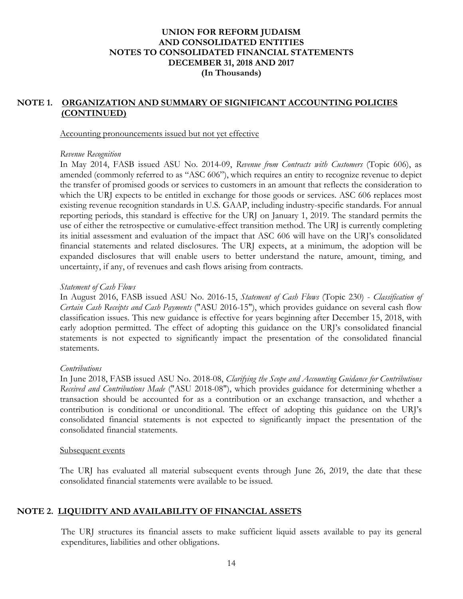## **NOTE 1. ORGANIZATION AND SUMMARY OF SIGNIFICANT ACCOUNTING POLICIES (CONTINUED)**

#### Accounting pronouncements issued but not yet effective

#### *Revenue Recognition*

In May 2014, FASB issued ASU No. 2014-09, *Revenue from Contracts with Customers* (Topic 606), as amended (commonly referred to as "ASC 606"), which requires an entity to recognize revenue to depict the transfer of promised goods or services to customers in an amount that reflects the consideration to which the URJ expects to be entitled in exchange for those goods or services. ASC 606 replaces most existing revenue recognition standards in U.S. GAAP, including industry-specific standards. For annual reporting periods, this standard is effective for the URJ on January 1, 2019. The standard permits the use of either the retrospective or cumulative-effect transition method. The URJ is currently completing its initial assessment and evaluation of the impact that ASC 606 will have on the URJ's consolidated financial statements and related disclosures. The URJ expects, at a minimum, the adoption will be expanded disclosures that will enable users to better understand the nature, amount, timing, and uncertainty, if any, of revenues and cash flows arising from contracts.

#### *Statement of Cash Flows*

In August 2016, FASB issued ASU No. 2016-15, *Statement of Cash Flows* (Topic 230) - *Classification of Certain Cash Receipts and Cash Payments* ("ASU 2016-15"), which provides guidance on several cash flow classification issues. This new guidance is effective for years beginning after December 15, 2018, with early adoption permitted. The effect of adopting this guidance on the URJ's consolidated financial statements is not expected to significantly impact the presentation of the consolidated financial statements.

#### *Contributions*

In June 2018, FASB issued ASU No. 2018-08, *Clarifying the Scope and Accounting Guidance for Contributions Received and Contributions Made* ("ASU 2018-08"), which provides guidance for determining whether a transaction should be accounted for as a contribution or an exchange transaction, and whether a contribution is conditional or unconditional. The effect of adopting this guidance on the URJ's consolidated financial statements is not expected to significantly impact the presentation of the consolidated financial statements.

#### Subsequent events

The URJ has evaluated all material subsequent events through June 26, 2019, the date that these consolidated financial statements were available to be issued.

#### **NOTE 2. LIQUIDITY AND AVAILABILITY OF FINANCIAL ASSETS**

The URJ structures its financial assets to make sufficient liquid assets available to pay its general expenditures, liabilities and other obligations.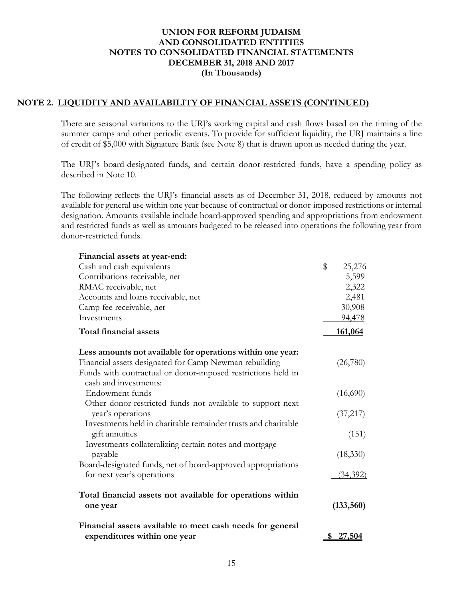### **NOTE 2. LIQUIDITY AND AVAILABILITY OF FINANCIAL ASSETS (CONTINUED)**

There are seasonal variations to the URJ's working capital and cash flows based on the timing of the summer camps and other periodic events. To provide for sufficient liquidity, the URJ maintains a line of credit of \$5,000 with Signature Bank (see Note 8) that is drawn upon as needed during the year.

The URJ's board-designated funds, and certain donor-restricted funds, have a spending policy as described in Note 10.

The following reflects the URJ's financial assets as of December 31, 2018, reduced by amounts not available for general use within one year because of contractual or donor-imposed restrictions or internal designation. Amounts available include board-approved spending and appropriations from endowment and restricted funds as well as amounts budgeted to be released into operations the following year from donor-restricted funds.

| Financial assets at year-end:                                                                                          |              |
|------------------------------------------------------------------------------------------------------------------------|--------------|
| Cash and cash equivalents                                                                                              | \$<br>25,276 |
| Contributions receivable, net                                                                                          | 5,599        |
| RMAC receivable, net                                                                                                   | 2,322        |
| Accounts and loans receivable, net                                                                                     | 2,481        |
| Camp fee receivable, net                                                                                               | 30,908       |
| Investments                                                                                                            | 94,478       |
| <b>Total financial assets</b>                                                                                          | 161,064      |
| Less amounts not available for operations within one year:                                                             |              |
| Financial assets designated for Camp Newman rebuilding<br>Funds with contractual or donor-imposed restrictions held in | (26,780)     |
| cash and investments:                                                                                                  |              |
| Endowment funds                                                                                                        | (16,690)     |
| Other donor-restricted funds not available to support next                                                             |              |
| year's operations                                                                                                      | (37,217)     |
| Investments held in charitable remainder trusts and charitable<br>gift annuities                                       | (151)        |
| Investments collateralizing certain notes and mortgage                                                                 |              |
| payable                                                                                                                | (18,330)     |
| Board-designated funds, net of board-approved appropriations                                                           |              |
| for next year's operations                                                                                             | (34,392)     |
| Total financial assets not available for operations within                                                             |              |
| one year                                                                                                               | (133, 560)   |
| Financial assets available to meet cash needs for general                                                              |              |
| expenditures within one year                                                                                           | \$<br>27,504 |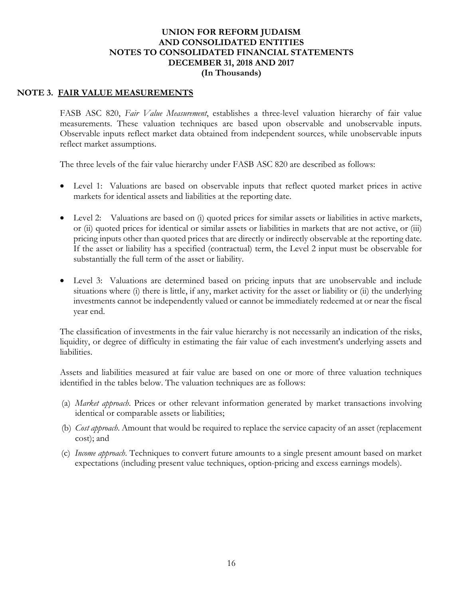#### **NOTE 3. FAIR VALUE MEASUREMENTS**

FASB ASC 820, *Fair Value Measurement*, establishes a three-level valuation hierarchy of fair value measurements. These valuation techniques are based upon observable and unobservable inputs. Observable inputs reflect market data obtained from independent sources, while unobservable inputs reflect market assumptions.

The three levels of the fair value hierarchy under FASB ASC 820 are described as follows:

- Level 1: Valuations are based on observable inputs that reflect quoted market prices in active markets for identical assets and liabilities at the reporting date.
- Level 2: Valuations are based on (i) quoted prices for similar assets or liabilities in active markets, or (ii) quoted prices for identical or similar assets or liabilities in markets that are not active, or (iii) pricing inputs other than quoted prices that are directly or indirectly observable at the reporting date. If the asset or liability has a specified (contractual) term, the Level 2 input must be observable for substantially the full term of the asset or liability.
- Level 3: Valuations are determined based on pricing inputs that are unobservable and include situations where (i) there is little, if any, market activity for the asset or liability or (ii) the underlying investments cannot be independently valued or cannot be immediately redeemed at or near the fiscal year end.

The classification of investments in the fair value hierarchy is not necessarily an indication of the risks, liquidity, or degree of difficulty in estimating the fair value of each investment's underlying assets and liabilities.

Assets and liabilities measured at fair value are based on one or more of three valuation techniques identified in the tables below. The valuation techniques are as follows:

- (a) *Market approach*. Prices or other relevant information generated by market transactions involving identical or comparable assets or liabilities;
- (b) *Cost approach*. Amount that would be required to replace the service capacity of an asset (replacement cost); and
- (c) *Income approach*. Techniques to convert future amounts to a single present amount based on market expectations (including present value techniques, option-pricing and excess earnings models).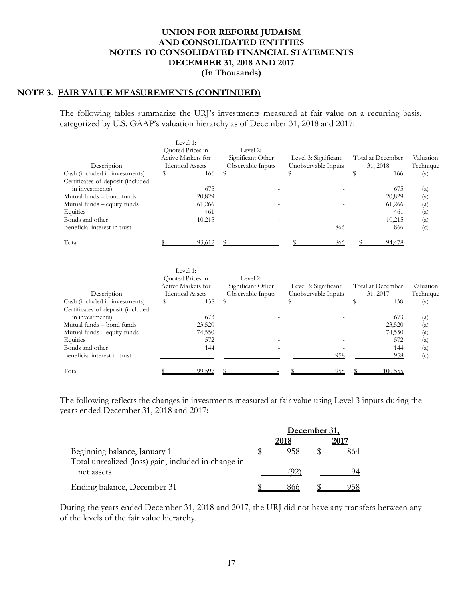### **NOTE 3. FAIR VALUE MEASUREMENTS (CONTINUED)**

The following tables summarize the URJ's investments measured at fair value on a recurring basis, categorized by U.S. GAAP's valuation hierarchy as of December 31, 2018 and 2017:

|                                   | Level 1:                |                   |                               |                   |                          |
|-----------------------------------|-------------------------|-------------------|-------------------------------|-------------------|--------------------------|
|                                   | Quoted Prices in        | Level 2:          |                               |                   |                          |
|                                   | Active Markets for      | Significant Other | Level 3: Significant          | Total at December | Valuation                |
| Description                       | <b>Identical Assets</b> | Observable Inputs | Unobservable Inputs           | 31, 2018          | Technique                |
| Cash (included in investments)    | \$<br>166               | S<br>$\sim$ $-$   | S<br>$\overline{\phantom{0}}$ | 166               | (a)                      |
| Certificates of deposit (included |                         |                   |                               |                   |                          |
| in investments)                   | 675                     |                   |                               | 675               | $\left( \text{a}\right)$ |
| Mutual funds – bond funds         | 20,829                  |                   |                               | 20,829            | (a)                      |
| Mutual funds – equity funds       | 61,266                  |                   |                               | 61,266            | (a)                      |
| Equities                          | 461                     |                   | $\overline{\phantom{0}}$      | 461               | $\left( \text{a}\right)$ |
| Bonds and other                   | 10,215                  |                   | $\overline{\phantom{0}}$      | 10,215            | (a)                      |
| Beneficial interest in trust      |                         |                   | 866                           | 866               | (c)                      |
| Total                             | 93,612                  |                   | 866                           | 94,478            |                          |

|                                   | Level 1:                |                          |                          |                   |                           |
|-----------------------------------|-------------------------|--------------------------|--------------------------|-------------------|---------------------------|
|                                   | Quoted Prices in        | Level 2:                 |                          |                   |                           |
|                                   | Active Markets for      | Significant Other        | Level 3: Significant     | Total at December | Valuation                 |
| Description                       | <b>Identical Assets</b> | Observable Inputs        | Unobservable Inputs      | 31, 2017          | Technique                 |
| Cash (included in investments)    | 138                     | $\overline{\phantom{a}}$ | $\overline{\phantom{0}}$ | 138               | (a)                       |
| Certificates of deposit (included |                         |                          |                          |                   |                           |
| in investments)                   | 673                     |                          |                          | 673               | $\left( \text{a} \right)$ |
| Mutual funds – bond funds         | 23,520                  |                          |                          | 23,520            | (a)                       |
| Mutual funds – equity funds       | 74,550                  |                          |                          | 74,550            | (a)                       |
| Equities                          | 572                     |                          |                          | 572               | $\left( \text{a}\right)$  |
| Bonds and other                   | 144                     |                          |                          | 144               | (a)                       |
| Beneficial interest in trust      |                         |                          | 958                      | 958               | (c)                       |
| Total                             | 99,597                  |                          | 958                      | 100,555           |                           |

The following reflects the changes in investments measured at fair value using Level 3 inputs during the years ended December 31, 2018 and 2017:

|                                                                                     | December 31, |      |  |     |  |  |  |
|-------------------------------------------------------------------------------------|--------------|------|--|-----|--|--|--|
|                                                                                     |              | 2018 |  |     |  |  |  |
| Beginning balance, January 1<br>Total unrealized (loss) gain, included in change in |              | 958  |  | 864 |  |  |  |
| net assets                                                                          |              |      |  | 94  |  |  |  |
| Ending balance, December 31                                                         |              |      |  | 958 |  |  |  |

During the years ended December 31, 2018 and 2017, the URJ did not have any transfers between any of the levels of the fair value hierarchy.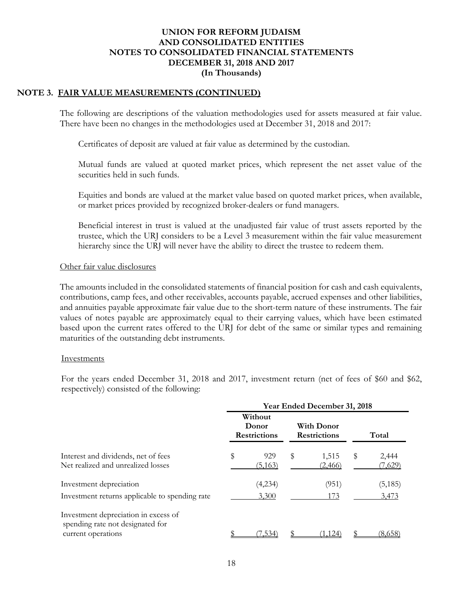### **NOTE 3. FAIR VALUE MEASUREMENTS (CONTINUED)**

The following are descriptions of the valuation methodologies used for assets measured at fair value. There have been no changes in the methodologies used at December 31, 2018 and 2017:

Certificates of deposit are valued at fair value as determined by the custodian.

Mutual funds are valued at quoted market prices, which represent the net asset value of the securities held in such funds.

Equities and bonds are valued at the market value based on quoted market prices, when available, or market prices provided by recognized broker-dealers or fund managers.

Beneficial interest in trust is valued at the unadjusted fair value of trust assets reported by the trustee, which the URJ considers to be a Level 3 measurement within the fair value measurement hierarchy since the URJ will never have the ability to direct the trustee to redeem them.

#### Other fair value disclosures

The amounts included in the consolidated statements of financial position for cash and cash equivalents, contributions, camp fees, and other receivables, accounts payable, accrued expenses and other liabilities, and annuities payable approximate fair value due to the short-term nature of these instruments. The fair values of notes payable are approximately equal to their carrying values, which have been estimated based upon the current rates offered to the URJ for debt of the same or similar types and remaining maturities of the outstanding debt instruments.

#### Investments

For the years ended December 31, 2018 and 2017, investment return (net of fees of \$60 and \$62, respectively) consisted of the following:

|                                                                                                |                                         | Year Ended December 31, 2018             |                        |
|------------------------------------------------------------------------------------------------|-----------------------------------------|------------------------------------------|------------------------|
|                                                                                                | Without<br>Donor<br><b>Restrictions</b> | <b>With Donor</b><br><b>Restrictions</b> | Total                  |
| Interest and dividends, net of fees<br>Net realized and unrealized losses                      | \$<br>929<br>(5,163)                    | \$<br>1,515<br>(2,466)                   | \$<br>2,444<br>(7,629) |
| Investment depreciation<br>Investment returns applicable to spending rate                      | (4,234)<br>3,300                        | (951)<br>173                             | (5, 185)<br>3,473      |
| Investment depreciation in excess of<br>spending rate not designated for<br>current operations | (7.534                                  | (1.124)                                  | (8.658)                |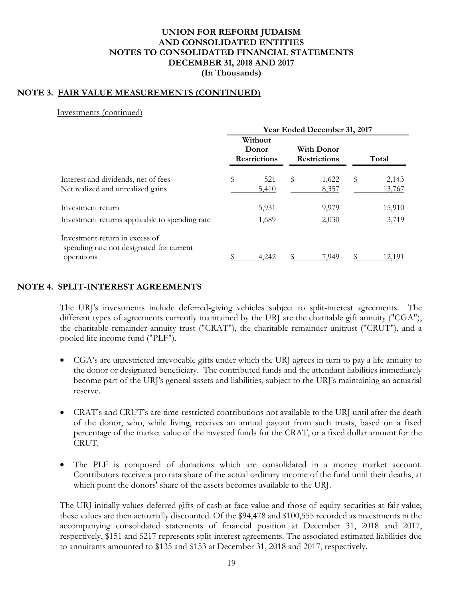#### **NOTE 3. FAIR VALUE MEASUREMENTS (CONTINUED)**

#### Investments (continued)

|                                                                                                                                            | Year Ended December 31, 2017 |                                         |    |                                   |    |                 |  |
|--------------------------------------------------------------------------------------------------------------------------------------------|------------------------------|-----------------------------------------|----|-----------------------------------|----|-----------------|--|
|                                                                                                                                            |                              | Without<br>Donor<br><b>Restrictions</b> |    | With Donor<br><b>Restrictions</b> |    | Total           |  |
| Interest and dividends, net of fees<br>Net realized and unrealized gains                                                                   | \$                           | 521<br>5,410                            | \$ | 1,622<br>8,357                    | \$ | 2,143<br>13,767 |  |
| Investment return                                                                                                                          |                              | 5,931                                   |    | 9,979                             |    | 15,910          |  |
| Investment returns applicable to spending rate<br>Investment return in excess of<br>spending rate not designated for current<br>operations |                              | 1,689<br>4.242                          |    | 2,030<br>7.949                    |    | 3,719           |  |

### **NOTE 4. SPLIT-INTEREST AGREEMENTS**

The URJ's investments include deferred-giving vehicles subject to split-interest agreements. The different types of agreements currently maintained by the URJ are the charitable gift annuity ("CGA"), the charitable remainder annuity trust ("CRAT"), the charitable remainder unitrust ("CRUT"), and a pooled life income fund ("PLF").

- CGA's are unrestricted irrevocable gifts under which the URJ agrees in turn to pay a life annuity to the donor or designated beneficiary. The contributed funds and the attendant liabilities immediately become part of the URJ's general assets and liabilities, subject to the URJ's maintaining an actuarial reserve.
- CRAT's and CRUT's are time-restricted contributions not available to the URJ until after the death of the donor, who, while living, receives an annual payout from such trusts, based on a fixed percentage of the market value of the invested funds for the CRAT, or a fixed dollar amount for the CRUT.
- The PLF is composed of donations which are consolidated in a money market account. Contributors receive a pro rata share of the actual ordinary income of the fund until their deaths, at which point the donors' share of the assets becomes available to the URJ.

The URJ initially values deferred gifts of cash at face value and those of equity securities at fair value; these values are then actuarially discounted. Of the \$94,478 and \$100,555 recorded as investments in the accompanying consolidated statements of financial position at December 31, 2018 and 2017, respectively, \$151 and \$217 represents split-interest agreements. The associated estimated liabilities due to annuitants amounted to \$135 and \$153 at December 31, 2018 and 2017, respectively.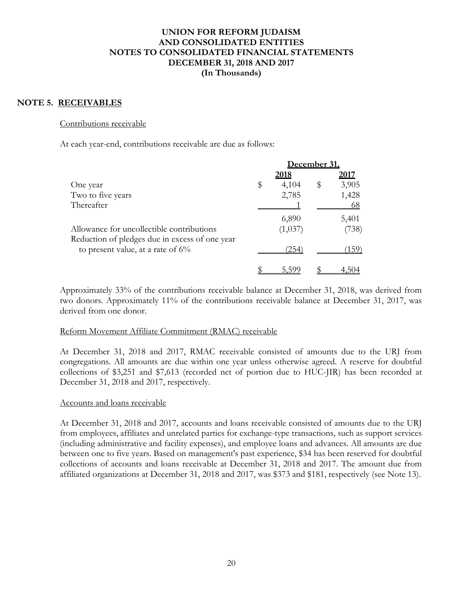## **NOTE 5. RECEIVABLES**

#### Contributions receivable

At each year-end, contributions receivable are due as follows:

|                                                | December 31, |             |   |       |  |
|------------------------------------------------|--------------|-------------|---|-------|--|
|                                                |              | <u>2018</u> |   | 2017  |  |
| One year                                       | \$           | 4,104       | P | 3,905 |  |
| Two to five years                              |              | 2,785       |   | 1,428 |  |
| Thereafter                                     |              |             |   | 68    |  |
|                                                |              | 6,890       |   | 5,401 |  |
| Allowance for uncollectible contributions      |              | (1,037)     |   | (738) |  |
| Reduction of pledges due in excess of one year |              |             |   |       |  |
| to present value, at a rate of $6\%$           |              | 254'        |   | (159) |  |
|                                                |              |             |   |       |  |
|                                                |              |             |   |       |  |

Approximately 33% of the contributions receivable balance at December 31, 2018, was derived from two donors. Approximately 11% of the contributions receivable balance at December 31, 2017, was derived from one donor.

#### Reform Movement Affiliate Commitment (RMAC) receivable

At December 31, 2018 and 2017, RMAC receivable consisted of amounts due to the URJ from congregations. All amounts are due within one year unless otherwise agreed. A reserve for doubtful collections of \$3,251 and \$7,613 (recorded net of portion due to HUC-JIR) has been recorded at December 31, 2018 and 2017, respectively.

#### Accounts and loans receivable

At December 31, 2018 and 2017, accounts and loans receivable consisted of amounts due to the URJ from employees, affiliates and unrelated parties for exchange-type transactions, such as support services (including administrative and facility expenses), and employee loans and advances. All amounts are due between one to five years. Based on management's past experience, \$34 has been reserved for doubtful collections of accounts and loans receivable at December 31, 2018 and 2017. The amount due from affiliated organizations at December 31, 2018 and 2017, was \$373 and \$181, respectively (see Note 13).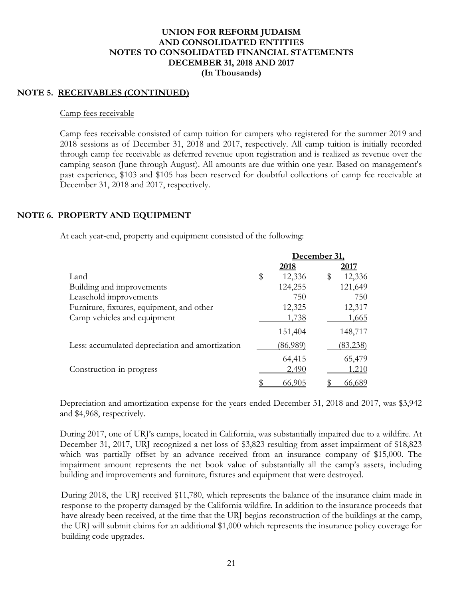#### **NOTE 5. RECEIVABLES (CONTINUED)**

#### Camp fees receivable

Camp fees receivable consisted of camp tuition for campers who registered for the summer 2019 and 2018 sessions as of December 31, 2018 and 2017, respectively. All camp tuition is initially recorded through camp fee receivable as deferred revenue upon registration and is realized as revenue over the camping season (June through August). All amounts are due within one year. Based on management's past experience, \$103 and \$105 has been reserved for doubtful collections of camp fee receivable at December 31, 2018 and 2017, respectively.

### **NOTE 6. PROPERTY AND EQUIPMENT**

At each year-end, property and equipment consisted of the following:

|                                                 | December 31 |                 |    |                 |
|-------------------------------------------------|-------------|-----------------|----|-----------------|
|                                                 |             | 2018            |    | <u> 2017 </u>   |
| Land                                            | \$          | 12,336          | \$ | 12,336          |
| Building and improvements                       |             | 124,255         |    | 121,649         |
| Leasehold improvements                          |             | 750             |    | 750             |
| Furniture, fixtures, equipment, and other       |             | 12,325          |    | 12,317          |
| Camp vehicles and equipment                     |             | 1,738           |    | 1,665           |
|                                                 |             | 151,404         |    | 148,717         |
| Less: accumulated depreciation and amortization |             | <u>(86,989)</u> |    | <u>(83,238)</u> |
|                                                 |             | 64,415          |    | 65,479          |
| Construction-in-progress                        |             | 2,490           |    | 1,210           |
|                                                 |             | 66.90           |    | 66,689          |

Depreciation and amortization expense for the years ended December 31, 2018 and 2017, was \$3,942 and \$4,968, respectively.

During 2017, one of URJ's camps, located in California, was substantially impaired due to a wildfire. At December 31, 2017, URJ recognized a net loss of \$3,823 resulting from asset impairment of \$18,823 which was partially offset by an advance received from an insurance company of \$15,000. The impairment amount represents the net book value of substantially all the camp's assets, including building and improvements and furniture, fixtures and equipment that were destroyed.

During 2018, the URJ received \$11,780, which represents the balance of the insurance claim made in response to the property damaged by the California wildfire. In addition to the insurance proceeds that have already been received, at the time that the URJ begins reconstruction of the buildings at the camp, the URJ will submit claims for an additional \$1,000 which represents the insurance policy coverage for building code upgrades.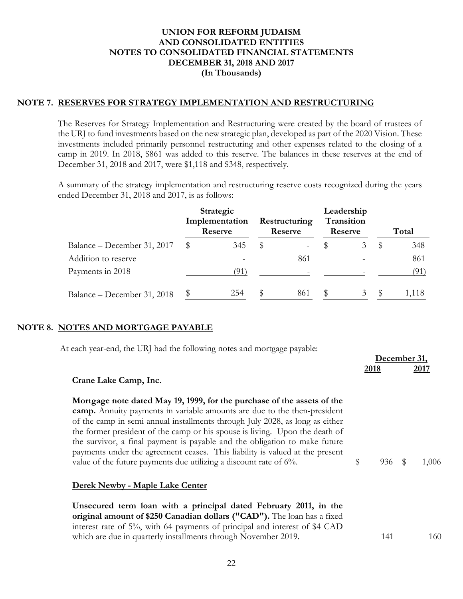### **NOTE 7. RESERVES FOR STRATEGY IMPLEMENTATION AND RESTRUCTURING**

The Reserves for Strategy Implementation and Restructuring were created by the board of trustees of the URJ to fund investments based on the new strategic plan, developed as part of the 2020 Vision. These investments included primarily personnel restructuring and other expenses related to the closing of a camp in 2019. In 2018, \$861 was added to this reserve. The balances in these reserves at the end of December 31, 2018 and 2017, were \$1,118 and \$348, respectively.

A summary of the strategy implementation and restructuring reserve costs recognized during the years ended December 31, 2018 and 2017, is as follows:

|                             | Strategic<br>Implementation<br>Reserve |   | Restructuring<br>Reserve | Leadership<br>Transition<br>Reserve |   | Total |
|-----------------------------|----------------------------------------|---|--------------------------|-------------------------------------|---|-------|
| Balance – December 31, 2017 | \$<br>345                              | S |                          |                                     | S | 348   |
| Addition to reserve         |                                        |   | 861                      |                                     |   | 861   |
| Payments in 2018            | (91)                                   |   |                          |                                     |   | (91)  |
| Balance - December 31, 2018 | 254                                    | S | 861                      |                                     | S | 1.118 |

#### **NOTE 8. NOTES AND MORTGAGE PAYABLE**

At each year-end, the URJ had the following notes and mortgage payable:

|                                                                                                                                                                                                                                                                                                                           |           | <u>December 31,</u> |              |  |
|---------------------------------------------------------------------------------------------------------------------------------------------------------------------------------------------------------------------------------------------------------------------------------------------------------------------------|-----------|---------------------|--------------|--|
|                                                                                                                                                                                                                                                                                                                           | 2018      |                     | <u> 2017</u> |  |
| Crane Lake Camp, Inc.<br>Mortgage note dated May 19, 1999, for the purchase of the assets of the<br>camp. Annuity payments in variable amounts are due to the then-president                                                                                                                                              |           |                     |              |  |
| of the camp in semi-annual installments through July 2028, as long as either<br>the former president of the camp or his spouse is living. Upon the death of<br>the survivor, a final payment is payable and the obligation to make future<br>payments under the agreement ceases. This liability is valued at the present |           |                     |              |  |
| value of the future payments due utilizing a discount rate of 6%.<br>Derek Newby - Maple Lake Center                                                                                                                                                                                                                      | \$<br>936 | -S                  | 1,006        |  |
| Unsecured term loan with a principal dated February 2011, in the<br>original amount of \$250 Canadian dollars ("CAD"). The loan has a fixed                                                                                                                                                                               |           |                     |              |  |
| interest rate of 5%, with 64 payments of principal and interest of \$4 CAD<br>which are due in quarterly installments through November 2019.                                                                                                                                                                              | 141       |                     | 160          |  |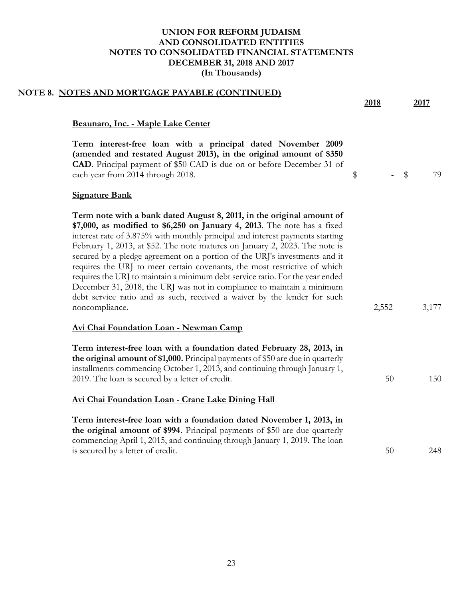| NOTE 8. NOTES AND MORTGAGE PAYABLE (CONTINUED)                                                                                                                                                                                                                                                                                                                                                                                                                                                                                                                                                                                                                                                                                        | 2018  | 2017     |
|---------------------------------------------------------------------------------------------------------------------------------------------------------------------------------------------------------------------------------------------------------------------------------------------------------------------------------------------------------------------------------------------------------------------------------------------------------------------------------------------------------------------------------------------------------------------------------------------------------------------------------------------------------------------------------------------------------------------------------------|-------|----------|
| Beaunaro, Inc. - Maple Lake Center                                                                                                                                                                                                                                                                                                                                                                                                                                                                                                                                                                                                                                                                                                    |       |          |
| Term interest-free loan with a principal dated November 2009<br>(amended and restated August 2013), in the original amount of \$350<br><b>CAD</b> . Principal payment of \$50 CAD is due on or before December 31 of<br>each year from 2014 through 2018.                                                                                                                                                                                                                                                                                                                                                                                                                                                                             | \$    | \$<br>79 |
| <b>Signature Bank</b>                                                                                                                                                                                                                                                                                                                                                                                                                                                                                                                                                                                                                                                                                                                 |       |          |
| Term note with a bank dated August 8, 2011, in the original amount of<br>\$7,000, as modified to \$6,250 on January 4, 2013. The note has a fixed<br>interest rate of 3.875% with monthly principal and interest payments starting<br>February 1, 2013, at \$52. The note matures on January 2, 2023. The note is<br>secured by a pledge agreement on a portion of the URJ's investments and it<br>requires the URJ to meet certain covenants, the most restrictive of which<br>requires the URJ to maintain a minimum debt service ratio. For the year ended<br>December 31, 2018, the URJ was not in compliance to maintain a minimum<br>debt service ratio and as such, received a waiver by the lender for such<br>noncompliance. | 2,552 | 3,177    |
| Avi Chai Foundation Loan - Newman Camp                                                                                                                                                                                                                                                                                                                                                                                                                                                                                                                                                                                                                                                                                                |       |          |
| Term interest-free loan with a foundation dated February 28, 2013, in<br>the original amount of \$1,000. Principal payments of \$50 are due in quarterly<br>installments commencing October 1, 2013, and continuing through January 1,<br>2019. The loan is secured by a letter of credit.                                                                                                                                                                                                                                                                                                                                                                                                                                            | 50    | 150      |
| Avi Chai Foundation Loan - Crane Lake Dining Hall                                                                                                                                                                                                                                                                                                                                                                                                                                                                                                                                                                                                                                                                                     |       |          |
| Term interest-free loan with a foundation dated November 1, 2013, in<br>the original amount of \$994. Principal payments of \$50 are due quarterly<br>commencing April 1, 2015, and continuing through January 1, 2019. The loan<br>is secured by a letter of credit.                                                                                                                                                                                                                                                                                                                                                                                                                                                                 | 50    | 248      |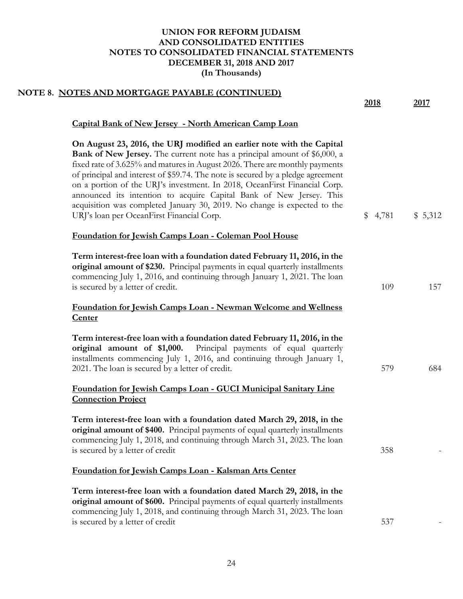| NOTE 8. NOTES AND MORTGAGE PAYABLE (CONTINUED)   |                                                                                                                                                                                                                                                                                                                                                                                                                                                                                                                                                             | 2018    | <u>2017</u> |
|--------------------------------------------------|-------------------------------------------------------------------------------------------------------------------------------------------------------------------------------------------------------------------------------------------------------------------------------------------------------------------------------------------------------------------------------------------------------------------------------------------------------------------------------------------------------------------------------------------------------------|---------|-------------|
|                                                  | <b>Capital Bank of New Jersey - North American Camp Loan</b>                                                                                                                                                                                                                                                                                                                                                                                                                                                                                                |         |             |
| URJ's loan per OceanFirst Financial Corp.        | On August 23, 2016, the URJ modified an earlier note with the Capital<br><b>Bank of New Jersey.</b> The current note has a principal amount of \$6,000, a<br>fixed rate of 3.625% and matures in August 2026. There are monthly payments<br>of principal and interest of \$59.74. The note is secured by a pledge agreement<br>on a portion of the URJ's investment. In 2018, OceanFirst Financial Corp.<br>announced its intention to acquire Capital Bank of New Jersey. This<br>acquisition was completed January 30, 2019. No change is expected to the | \$4,781 | \$5,312     |
|                                                  | Foundation for Jewish Camps Loan - Coleman Pool House                                                                                                                                                                                                                                                                                                                                                                                                                                                                                                       |         |             |
| is secured by a letter of credit.                | Term interest-free loan with a foundation dated February 11, 2016, in the<br>original amount of \$230. Principal payments in equal quarterly installments<br>commencing July 1, 2016, and continuing through January 1, 2021. The loan                                                                                                                                                                                                                                                                                                                      | 109     | 157         |
| Center                                           | Foundation for Jewish Camps Loan - Newman Welcome and Wellness                                                                                                                                                                                                                                                                                                                                                                                                                                                                                              |         |             |
| 2021. The loan is secured by a letter of credit. | Term interest-free loan with a foundation dated February 11, 2016, in the<br>original amount of \$1,000. Principal payments of equal quarterly<br>installments commencing July 1, 2016, and continuing through January 1,                                                                                                                                                                                                                                                                                                                                   | 579     | 684         |
| <b>Connection Project</b>                        | Foundation for Jewish Camps Loan - GUCI Municipal Sanitary Line                                                                                                                                                                                                                                                                                                                                                                                                                                                                                             |         |             |
| is secured by a letter of credit                 | Term interest-free loan with a foundation dated March 29, 2018, in the<br>original amount of \$400. Principal payments of equal quarterly installments<br>commencing July 1, 2018, and continuing through March 31, 2023. The loan                                                                                                                                                                                                                                                                                                                          | 358     |             |
|                                                  | Foundation for Jewish Camps Loan - Kalsman Arts Center                                                                                                                                                                                                                                                                                                                                                                                                                                                                                                      |         |             |
|                                                  | Term interest-free loan with a foundation dated March 29, 2018, in the<br>original amount of \$600. Principal payments of equal quarterly installments<br>commencing July 1, 2018, and continuing through March 31, 2023. The loan                                                                                                                                                                                                                                                                                                                          |         |             |
| is secured by a letter of credit                 |                                                                                                                                                                                                                                                                                                                                                                                                                                                                                                                                                             | 537     |             |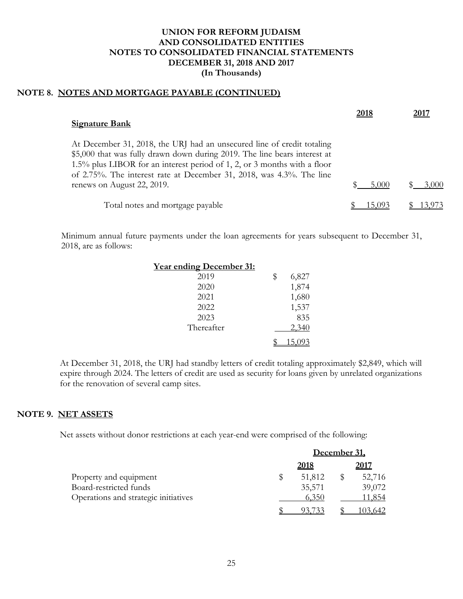## **NOTE 8. NOTES AND MORTGAGE PAYABLE (CONTINUED)**

| <b>Signature Bank</b>                                                                                                                                                                                                                                                                                                                 | 2018  |       |
|---------------------------------------------------------------------------------------------------------------------------------------------------------------------------------------------------------------------------------------------------------------------------------------------------------------------------------------|-------|-------|
| At December 31, 2018, the URJ had an unsecured line of credit totaling<br>\$5,000 that was fully drawn down during 2019. The line bears interest at<br>1.5% plus LIBOR for an interest period of 1, 2, or 3 months with a floor<br>of 2.75%. The interest rate at December 31, 2018, was 4.3%. The line<br>renews on August 22, 2019. | 5,000 | 3.000 |
| Total notes and mortgage payable                                                                                                                                                                                                                                                                                                      |       |       |

Minimum annual future payments under the loan agreements for years subsequent to December 31, 2018, are as follows:

| <u>Year ending December 31:</u> |             |
|---------------------------------|-------------|
| 2019                            | \$<br>6,827 |
| 2020                            | 1,874       |
| 2021                            | 1,680       |
| 2022                            | 1,537       |
| 2023                            | 835         |
| Thereafter                      | 2,340       |
|                                 |             |

At December 31, 2018, the URJ had standby letters of credit totaling approximately \$2,849, which will expire through 2024. The letters of credit are used as security for loans given by unrelated organizations for the renovation of several camp sites.

### **NOTE 9. NET ASSETS**

Net assets without donor restrictions at each year-end were comprised of the following:

|                                      | December 31,  |  |              |  |
|--------------------------------------|---------------|--|--------------|--|
|                                      | <u> 2018 </u> |  | <u> 2017</u> |  |
| Property and equipment               | 51,812        |  | 52,716       |  |
| Board-restricted funds               | 35,571        |  | 39,072       |  |
| Operations and strategic initiatives | 6,350         |  | 11,854       |  |
|                                      |               |  | .642         |  |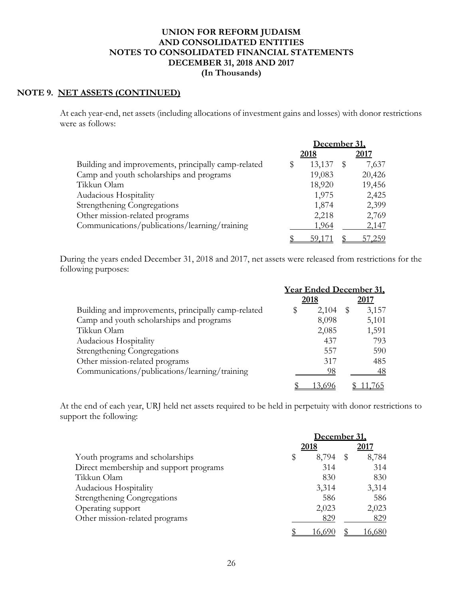## **NOTE 9. NET ASSETS (CONTINUED)**

At each year-end, net assets (including allocations of investment gains and losses) with donor restrictions were as follows:

|                                                     | December 31, |               |  |             |
|-----------------------------------------------------|--------------|---------------|--|-------------|
|                                                     |              | <u> 2018 </u> |  | 2017        |
| Building and improvements, principally camp-related | S            | 13,137        |  | 7,637       |
| Camp and youth scholarships and programs            |              | 19,083        |  | 20,426      |
| Tikkun Olam                                         |              | 18,920        |  | 19,456      |
| Audacious Hospitality                               |              | 1,975         |  | 2,425       |
| Strengthening Congregations                         |              | 1,874         |  | 2,399       |
| Other mission-related programs                      |              | 2,218         |  | 2,769       |
| Communications/publications/learning/training       |              | 1,964         |  | 2,147       |
|                                                     |              |               |  | <u>259,</u> |

During the years ended December 31, 2018 and 2017, net assets were released from restrictions for the following purposes:

|                                                     | <b>Year Ended December 31,</b> |       |   |       |
|-----------------------------------------------------|--------------------------------|-------|---|-------|
|                                                     | <u> 2018</u>                   |       |   | 2017  |
| Building and improvements, principally camp-related | \$                             | 2,104 | S | 3,157 |
| Camp and youth scholarships and programs            |                                | 8,098 |   | 5,101 |
| Tikkun Olam                                         |                                | 2,085 |   | 1,591 |
| Audacious Hospitality                               |                                | 437   |   | 793   |
| Strengthening Congregations                         |                                | 557   |   | 590   |
| Other mission-related programs                      |                                | 317   |   | 485   |
| Communications/publications/learning/training       |                                | 98    |   | 48    |
|                                                     |                                |       |   |       |

At the end of each year, URJ held net assets required to be held in perpetuity with donor restrictions to support the following:

|                                        | December 31. |             |   |       |
|----------------------------------------|--------------|-------------|---|-------|
|                                        |              | <u>2018</u> |   | 2017  |
| Youth programs and scholarships        | \$           | 8,794       | S | 8,784 |
| Direct membership and support programs |              | 314         |   | 314   |
| Tikkun Olam                            |              | 830         |   | 830   |
| Audacious Hospitality                  |              | 3,314       |   | 3,314 |
| Strengthening Congregations            |              | 586         |   | 586   |
| Operating support                      |              | 2,023       |   | 2,023 |
| Other mission-related programs         |              | 829         |   | 829   |
|                                        |              |             |   | .680  |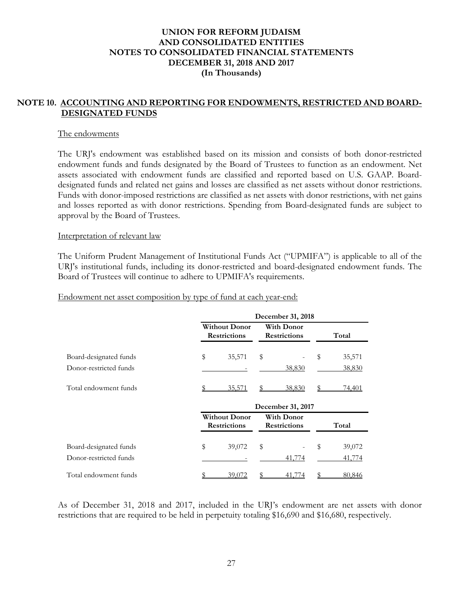## **NOTE 10. ACCOUNTING AND REPORTING FOR ENDOWMENTS, RESTRICTED AND BOARD-DESIGNATED FUNDS**

#### The endowments

The URJ's endowment was established based on its mission and consists of both donor-restricted endowment funds and funds designated by the Board of Trustees to function as an endowment. Net assets associated with endowment funds are classified and reported based on U.S. GAAP. Boarddesignated funds and related net gains and losses are classified as net assets without donor restrictions. Funds with donor-imposed restrictions are classified as net assets with donor restrictions, with net gains and losses reported as with donor restrictions. Spending from Board-designated funds are subject to approval by the Board of Trustees.

#### Interpretation of relevant law

The Uniform Prudent Management of Institutional Funds Act ("UPMIFA") is applicable to all of the URJ's institutional funds, including its donor-restricted and board-designated endowment funds. The Board of Trustees will continue to adhere to UPMIFA's requirements.

Endowment net asset composition by type of fund at each year-end:

|                                                  | December 31, 2018                           |    |                                          |    |                  |
|--------------------------------------------------|---------------------------------------------|----|------------------------------------------|----|------------------|
|                                                  | <b>Without Donor</b><br><b>Restrictions</b> |    | <b>With Donor</b><br><b>Restrictions</b> |    | Total            |
| Board-designated funds<br>Donor-restricted funds | \$<br>35,571                                | \$ | 38,830                                   | \$ | 35,571<br>38,830 |
| Total endowment funds                            | 35,571                                      | \$ | <u>38,830</u>                            |    | 74.401           |
|                                                  |                                             |    | December 31, 2017                        |    |                  |
|                                                  | <b>Without Donor</b><br>Restrictions        |    | <b>With Donor</b><br><b>Restrictions</b> |    | Total            |
| Board-designated funds                           | \$<br>39,072                                | \$ |                                          | \$ | 39,072           |
| Donor-restricted funds                           |                                             |    | 41,774                                   |    | 41,774           |
| Total endowment funds                            | <u>39,072</u>                               |    | 41.774                                   |    | 80,846           |

As of December 31, 2018 and 2017, included in the URJ's endowment are net assets with donor restrictions that are required to be held in perpetuity totaling \$16,690 and \$16,680, respectively.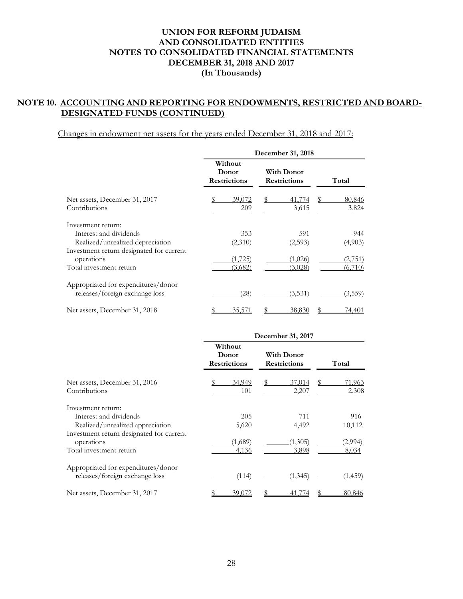## **NOTE 10. ACCOUNTING AND REPORTING FOR ENDOWMENTS, RESTRICTED AND BOARD-DESIGNATED FUNDS (CONTINUED)**

Changes in endowment net assets for the years ended December 31, 2018 and 2017:

|                                                                       | December 31, 2018                       |                                          |                 |  |  |
|-----------------------------------------------------------------------|-----------------------------------------|------------------------------------------|-----------------|--|--|
|                                                                       | Without<br>Donor<br><b>Restrictions</b> | <b>With Donor</b><br><b>Restrictions</b> | Total           |  |  |
| Net assets, December 31, 2017<br>Contributions                        | 39,072<br>209                           | S<br>3,615                               | 80,846<br>3,824 |  |  |
|                                                                       |                                         |                                          |                 |  |  |
| Investment return:                                                    |                                         |                                          |                 |  |  |
| Interest and dividends                                                | 353                                     | 591                                      | 944             |  |  |
| Realized/unrealized depreciation                                      | (2,310)                                 | (2,593)                                  | (4,903)         |  |  |
| Investment return designated for current                              |                                         |                                          |                 |  |  |
| operations                                                            | (1.725)                                 | (1,026)                                  | (2.751)         |  |  |
| Total investment return                                               | (3,682)                                 | (3,028)                                  | (6,710)         |  |  |
| Appropriated for expenditures/donor<br>releases/foreign exchange loss | (28)                                    | (3,531)                                  | (3,559)         |  |  |
| Net assets, December 31, 2018                                         | 35,571                                  | 38,830                                   | 74,401          |  |  |

| December 31, 2017                                                                 |                                         |                                   |                  |  |
|-----------------------------------------------------------------------------------|-----------------------------------------|-----------------------------------|------------------|--|
|                                                                                   | Without<br>Donor<br><b>Restrictions</b> | With Donor<br><b>Restrictions</b> | Total            |  |
| Net assets, December 31, 2016<br>Contributions                                    | 34,949<br>101                           | S<br>37,014<br>2,207              | 71,963<br>2,308  |  |
| Investment return:<br>Interest and dividends<br>Realized/unrealized appreciation  | 205<br>5,620                            | 711<br>4,492                      | 916<br>10,112    |  |
| Investment return designated for current<br>operations<br>Total investment return | (1,689)<br>4.136                        | (1,305)<br>3,898                  | (2,994)<br>8,034 |  |
| Appropriated for expenditures/donor<br>releases/foreign exchange loss             | (114)                                   | (1,345)                           | (1,459)          |  |
| Net assets, December 31, 2017                                                     | 39.072                                  |                                   | 80.846           |  |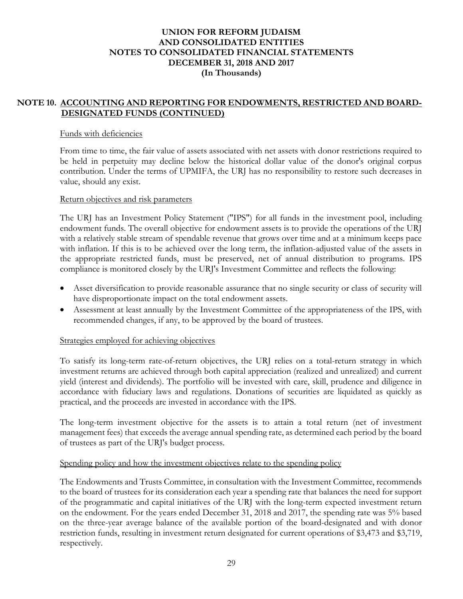## **NOTE 10. ACCOUNTING AND REPORTING FOR ENDOWMENTS, RESTRICTED AND BOARD-DESIGNATED FUNDS (CONTINUED)**

#### Funds with deficiencies

From time to time, the fair value of assets associated with net assets with donor restrictions required to be held in perpetuity may decline below the historical dollar value of the donor's original corpus contribution. Under the terms of UPMIFA, the URJ has no responsibility to restore such decreases in value, should any exist.

#### Return objectives and risk parameters

The URJ has an Investment Policy Statement ("IPS") for all funds in the investment pool, including endowment funds. The overall objective for endowment assets is to provide the operations of the URJ with a relatively stable stream of spendable revenue that grows over time and at a minimum keeps pace with inflation. If this is to be achieved over the long term, the inflation-adjusted value of the assets in the appropriate restricted funds, must be preserved, net of annual distribution to programs. IPS compliance is monitored closely by the URJ's Investment Committee and reflects the following:

- Asset diversification to provide reasonable assurance that no single security or class of security will have disproportionate impact on the total endowment assets.
- Assessment at least annually by the Investment Committee of the appropriateness of the IPS, with recommended changes, if any, to be approved by the board of trustees.

### Strategies employed for achieving objectives

To satisfy its long-term rate-of-return objectives, the URJ relies on a total-return strategy in which investment returns are achieved through both capital appreciation (realized and unrealized) and current yield (interest and dividends). The portfolio will be invested with care, skill, prudence and diligence in accordance with fiduciary laws and regulations. Donations of securities are liquidated as quickly as practical, and the proceeds are invested in accordance with the IPS.

The long-term investment objective for the assets is to attain a total return (net of investment management fees) that exceeds the average annual spending rate, as determined each period by the board of trustees as part of the URJ's budget process.

### Spending policy and how the investment objectives relate to the spending policy

The Endowments and Trusts Committee, in consultation with the Investment Committee, recommends to the board of trustees for its consideration each year a spending rate that balances the need for support of the programmatic and capital initiatives of the URJ with the long-term expected investment return on the endowment. For the years ended December 31, 2018 and 2017, the spending rate was 5% based on the three-year average balance of the available portion of the board-designated and with donor restriction funds, resulting in investment return designated for current operations of \$3,473 and \$3,719, respectively.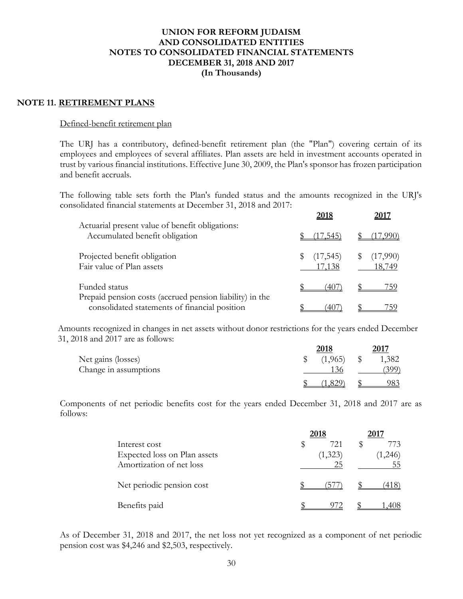#### **NOTE 11. RETIREMENT PLANS**

#### Defined-benefit retirement plan

The URJ has a contributory, defined-benefit retirement plan (the "Plan") covering certain of its employees and employees of several affiliates. Plan assets are held in investment accounts operated in trust by various financial institutions. Effective June 30, 2009, the Plan's sponsor has frozen participation and benefit accruals.

The following table sets forth the Plan's funded status and the amounts recognized in the URJ's consolidated financial statements at December 31, 2018 and 2017:

|                                                                                                           | 2018                    | 2017                     |
|-----------------------------------------------------------------------------------------------------------|-------------------------|--------------------------|
| Actuarial present value of benefit obligations:<br>Accumulated benefit obligation                         | 17.545                  |                          |
| Projected benefit obligation<br>Fair value of Plan assets                                                 | (17,545)<br>У<br>17,138 | (17,990)<br>Y.<br>18,749 |
| Funded status                                                                                             | (40)                    | 759                      |
| Prepaid pension costs (accrued pension liability) in the<br>consolidated statements of financial position | <u>+40 </u>             | עכ'                      |

Amounts recognized in changes in net assets without donor restrictions for the years ended December 31, 2018 and 2017 are as follows:

|                       | 2018 |         |  |       |
|-----------------------|------|---------|--|-------|
| Net gains (losses)    |      | (1,965) |  | 1,382 |
| Change in assumptions |      | 136.    |  | 399)  |
|                       |      | 829     |  | 983   |

Components of net periodic benefits cost for the years ended December 31, 2018 and 2017 are as follows:

|                              | 2018     |         |  |  |
|------------------------------|----------|---------|--|--|
| Interest cost                | 721<br>S | 773     |  |  |
| Expected loss on Plan assets | (1,323)  | (1,246) |  |  |
| Amortization of net loss     | 25       |         |  |  |
| Net periodic pension cost    |          | (418)   |  |  |
| Benefits paid                |          |         |  |  |

As of December 31, 2018 and 2017, the net loss not yet recognized as a component of net periodic pension cost was \$4,246 and \$2,503, respectively.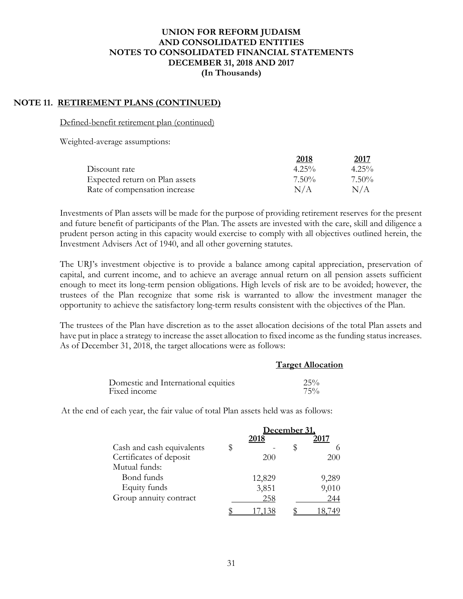#### **NOTE 11. RETIREMENT PLANS (CONTINUED)**

Defined-benefit retirement plan (continued)

Weighted-average assumptions:

|                                | 2018     | 2017     |
|--------------------------------|----------|----------|
| Discount rate                  | $4.25\%$ | $4.25\%$ |
| Expected return on Plan assets | $7.50\%$ | 7.50%    |
| Rate of compensation increase  | N/A      | N/A      |

Investments of Plan assets will be made for the purpose of providing retirement reserves for the present and future benefit of participants of the Plan. The assets are invested with the care, skill and diligence a prudent person acting in this capacity would exercise to comply with all objectives outlined herein, the Investment Advisers Act of 1940, and all other governing statutes.

The URJ's investment objective is to provide a balance among capital appreciation, preservation of capital, and current income, and to achieve an average annual return on all pension assets sufficient enough to meet its long-term pension obligations. High levels of risk are to be avoided; however, the trustees of the Plan recognize that some risk is warranted to allow the investment manager the opportunity to achieve the satisfactory long-term results consistent with the objectives of the Plan.

The trustees of the Plan have discretion as to the asset allocation decisions of the total Plan assets and have put in place a strategy to increase the asset allocation to fixed income as the funding status increases. As of December 31, 2018, the target allocations were as follows:

At the end of each year, the fair value of total Plan assets held was as follows:

|                           | December 31, |  |       |  |
|---------------------------|--------------|--|-------|--|
|                           | 2018         |  | 2017  |  |
| Cash and cash equivalents |              |  |       |  |
| Certificates of deposit   | 200          |  | 200   |  |
| Mutual funds:             |              |  |       |  |
| Bond funds                | 12,829       |  | 9,289 |  |
| Equity funds              | 3,851        |  | 9,010 |  |
| Group annuity contract    | 258          |  | 244   |  |
|                           |              |  |       |  |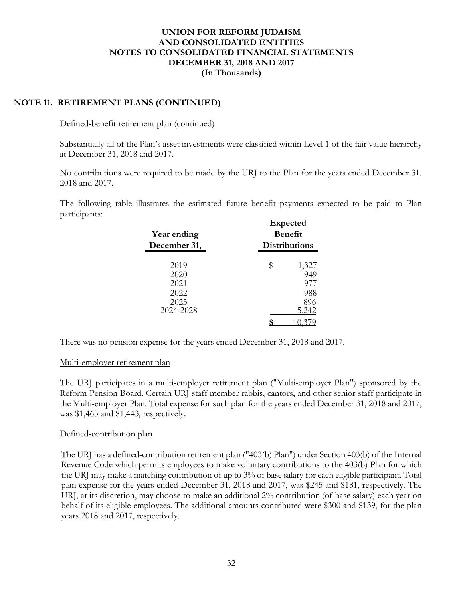## **NOTE 11. RETIREMENT PLANS (CONTINUED)**

Defined-benefit retirement plan (continued)

Substantially all of the Plan's asset investments were classified within Level 1 of the fair value hierarchy at December 31, 2018 and 2017.

No contributions were required to be made by the URJ to the Plan for the years ended December 31, 2018 and 2017.

The following table illustrates the estimated future benefit payments expected to be paid to Plan participants:

| Year ending<br>December 31, | <b>Expected</b><br><b>Benefit</b><br><b>Distributions</b> |
|-----------------------------|-----------------------------------------------------------|
|                             |                                                           |
| 2019                        | \$<br>1,327                                               |
| 2020                        | 949                                                       |
| 2021                        | 977                                                       |
| 2022                        | 988                                                       |
| 2023                        | 896                                                       |
| 2024-2028                   | 5,242                                                     |
|                             |                                                           |

There was no pension expense for the years ended December 31, 2018 and 2017.

#### Multi-employer retirement plan

The URJ participates in a multi-employer retirement plan ("Multi-employer Plan") sponsored by the Reform Pension Board. Certain URJ staff member rabbis, cantors, and other senior staff participate in the Multi-employer Plan. Total expense for such plan for the years ended December 31, 2018 and 2017, was \$1,465 and \$1,443, respectively.

### Defined-contribution plan

The URJ has a defined-contribution retirement plan ("403(b) Plan") under Section 403(b) of the Internal Revenue Code which permits employees to make voluntary contributions to the 403(b) Plan for which the URJ may make a matching contribution of up to 3% of base salary for each eligible participant. Total plan expense for the years ended December 31, 2018 and 2017, was \$245 and \$181, respectively. The URJ, at its discretion, may choose to make an additional 2% contribution (of base salary) each year on behalf of its eligible employees. The additional amounts contributed were \$300 and \$139, for the plan years 2018 and 2017, respectively.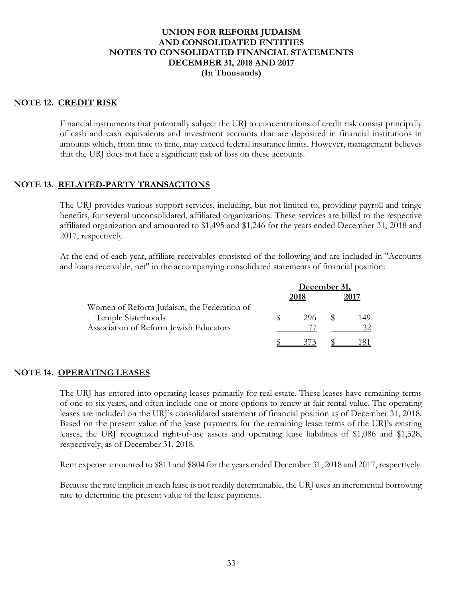#### **NOTE 12. CREDIT RISK**

Financial instruments that potentially subject the URJ to concentrations of credit risk consist principally of cash and cash equivalents and investment accounts that are deposited in financial institutions in amounts which, from time to time, may exceed federal insurance limits. However, management believes that the URJ does not face a significant risk of loss on these accounts.

#### **NOTE 13. RELATED-PARTY TRANSACTIONS**

The URJ provides various support services, including, but not limited to, providing payroll and fringe benefits, for several unconsolidated, affiliated organizations. These services are billed to the respective affiliated organization and amounted to \$1,495 and \$1,246 for the years ended December 31, 2018 and 2017, respectively.

At the end of each year, affiliate receivables consisted of the following and are included in "Accounts and loans receivable, net" in the accompanying consolidated statements of financial position:

|                                            | December 31. |      |  |     |
|--------------------------------------------|--------------|------|--|-----|
|                                            |              | 2018 |  |     |
| Women of Reform Judaism, the Federation of |              |      |  |     |
| Temple Sisterhoods                         |              | -296 |  | 149 |
| Association of Reform Jewish Educators     |              |      |  |     |
|                                            |              |      |  |     |

#### **NOTE 14. OPERATING LEASES**

The URJ has entered into operating leases primarily for real estate. These leases have remaining terms of one to six years, and often include one or more options to renew at fair rental value. The operating leases are included on the URJ's consolidated statement of financial position as of December 31, 2018. Based on the present value of the lease payments for the remaining lease terms of the URJ's existing leases, the URJ recognized right-of-use assets and operating lease liabilities of \$1,086 and \$1,528, respectively, as of December 31, 2018.

Rent expense amounted to \$811 and \$804 for the years ended December 31, 2018 and 2017, respectively.

Because the rate implicit in each lease is not readily determinable, the URJ uses an incremental borrowing rate to determine the present value of the lease payments.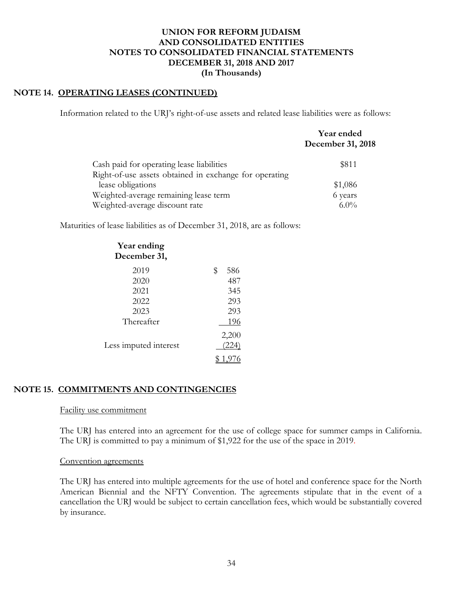### **NOTE 14. OPERATING LEASES (CONTINUED)**

Information related to the URJ's right-of-use assets and related lease liabilities were as follows:

## **Year ended December 31, 2018**

| Cash paid for operating lease liabilities              | \$811   |
|--------------------------------------------------------|---------|
| Right-of-use assets obtained in exchange for operating |         |
| lease obligations                                      | \$1,086 |
| Weighted-average remaining lease term                  | 6 years |
| Weighted-average discount rate                         | $6.0\%$ |

Maturities of lease liabilities as of December 31, 2018, are as follows:

| Year ending<br>December 31, |           |
|-----------------------------|-----------|
| 2019                        | \$<br>586 |
| 2020                        | 487       |
| 2021                        | 345       |
| 2022                        | 293       |
| 2023                        | 293       |
| Thereafter                  | 196       |
|                             | 2,200     |
| Less imputed interest       |           |
|                             |           |

### **NOTE 15. COMMITMENTS AND CONTINGENCIES**

#### Facility use commitment

The URJ has entered into an agreement for the use of college space for summer camps in California. The URJ is committed to pay a minimum of \$1,922 for the use of the space in 2019.

#### Convention agreements

The URJ has entered into multiple agreements for the use of hotel and conference space for the North American Biennial and the NFTY Convention. The agreements stipulate that in the event of a cancellation the URJ would be subject to certain cancellation fees, which would be substantially covered by insurance.